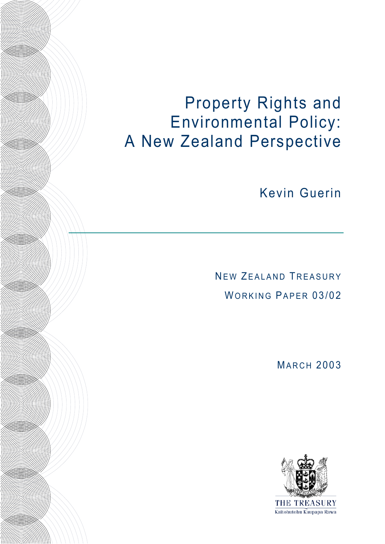# Property Rights and Environmental Policy: A New Zealand Perspective

**Allies Marshall** 

**Allian Communication** 

**All (CON)** 

**Allian Communication** 

**Allian Communist Communist Communist Communist Communist Communist Communist Communist Communist Communist Co** 

**HIMOS AND AND ANGLE OF THE STATE OF THE STATE OF THE STATE OF THE STATE OF THE STATE OF THE STATE** 

**HIMORES** 

**All (CO))** 

**ANTIGORIAL COMMUNISTICATION AND REGISTER** 

**Allian Communication** 

**Allian Communist Communist Communist Communist Communist Communist Communist Communist Communist Communist Co** 

Kevin Guerin

NEW ZEALAND TREASURY WORKING PAPER 03/02

**MARCH 2003** 

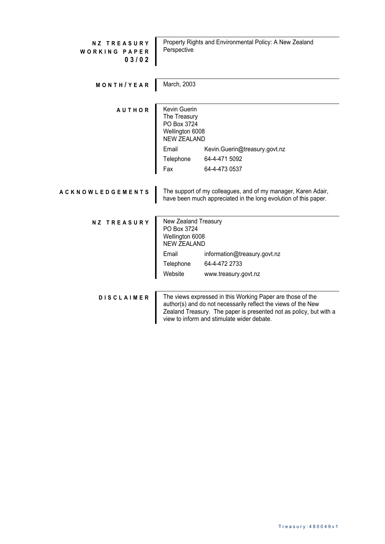| <b>NZ TREASURY</b><br>WORKING PAPER<br>03/02 | Property Rights and Environmental Policy: A New Zealand<br>Perspective               |                                                                                                                                                                                                                                                 |  |
|----------------------------------------------|--------------------------------------------------------------------------------------|-------------------------------------------------------------------------------------------------------------------------------------------------------------------------------------------------------------------------------------------------|--|
| MONTH/YEAR                                   | March, 2003                                                                          |                                                                                                                                                                                                                                                 |  |
| <b>AUTHOR</b>                                | Kevin Guerin<br>The Treasury<br>PO Box 3724<br>Wellington 6008<br><b>NEW ZEALAND</b> |                                                                                                                                                                                                                                                 |  |
|                                              | Email                                                                                | Kevin.Guerin@treasury.govt.nz                                                                                                                                                                                                                   |  |
|                                              | Telephone                                                                            | 64-4-471 5092                                                                                                                                                                                                                                   |  |
|                                              | Fax                                                                                  | 64-4-473 0537                                                                                                                                                                                                                                   |  |
| <b>A C K N O W L E D G E M E N T S</b>       |                                                                                      | The support of my colleagues, and of my manager, Karen Adair,<br>have been much appreciated in the long evolution of this paper.                                                                                                                |  |
| <b>NZ TREASURY</b>                           | New Zealand Treasury<br>PO Box 3724<br>Wellington 6008<br><b>NEW ZEALAND</b>         |                                                                                                                                                                                                                                                 |  |
|                                              | Email                                                                                | information@treasury.govt.nz                                                                                                                                                                                                                    |  |
|                                              | Telephone                                                                            | 64-4-472 2733                                                                                                                                                                                                                                   |  |
|                                              | Website                                                                              | www.treasury.govt.nz                                                                                                                                                                                                                            |  |
|                                              |                                                                                      |                                                                                                                                                                                                                                                 |  |
| <b>DISCLAIMER</b>                            |                                                                                      | The views expressed in this Working Paper are those of the<br>author(s) and do not necessarily reflect the views of the New<br>Zealand Treasury. The paper is presented not as policy, but with a<br>view to inform and stimulate wider debate. |  |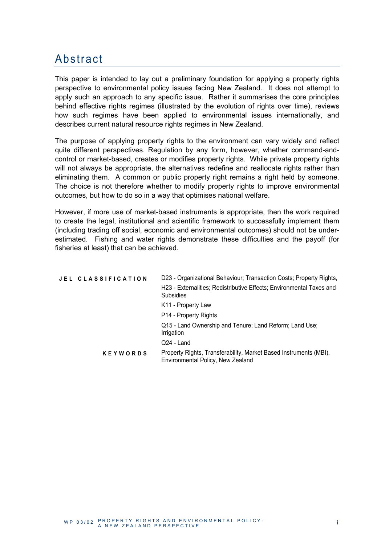# Abstract

This paper is intended to lay out a preliminary foundation for applying a property rights perspective to environmental policy issues facing New Zealand. It does not attempt to apply such an approach to any specific issue. Rather it summarises the core principles behind effective rights regimes (illustrated by the evolution of rights over time), reviews how such regimes have been applied to environmental issues internationally, and describes current natural resource rights regimes in New Zealand.

The purpose of applying property rights to the environment can vary widely and reflect quite different perspectives. Regulation by any form, however, whether command-andcontrol or market-based, creates or modifies property rights. While private property rights will not always be appropriate, the alternatives redefine and reallocate rights rather than eliminating them. A common or public property right remains a right held by someone. The choice is not therefore whether to modify property rights to improve environmental outcomes, but how to do so in a way that optimises national welfare.

However, if more use of market-based instruments is appropriate, then the work required to create the legal, institutional and scientific framework to successfully implement them (including trading off social, economic and environmental outcomes) should not be underestimated. Fishing and water rights demonstrate these difficulties and the payoff (for fisheries at least) that can be achieved.

| JEL CLASSIFICATION | D23 - Organizational Behaviour; Transaction Costs; Property Rights,                                    |
|--------------------|--------------------------------------------------------------------------------------------------------|
|                    | H23 - Externalities; Redistributive Effects; Environmental Taxes and<br><b>Subsidies</b>               |
|                    | K <sub>11</sub> - Property Law                                                                         |
|                    | P <sub>14</sub> - Property Rights                                                                      |
|                    | Q15 - Land Ownership and Tenure; Land Reform; Land Use;<br>Irrigation                                  |
|                    | Q24 - Land                                                                                             |
| <b>KEYWORDS</b>    | Property Rights, Transferability, Market Based Instruments (MBI),<br>Environmental Policy, New Zealand |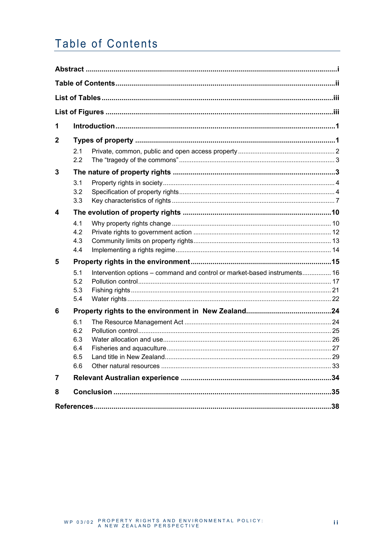# Table of Contents

| 1           |                          |                                                                           |  |
|-------------|--------------------------|---------------------------------------------------------------------------|--|
| $\mathbf 2$ |                          |                                                                           |  |
|             | 2.1<br>2.2               |                                                                           |  |
| 3           |                          |                                                                           |  |
|             | 3.1<br>3.2<br>3.3        |                                                                           |  |
| 4           |                          |                                                                           |  |
|             | 4.1<br>4.2<br>4.3<br>4.4 |                                                                           |  |
| 5           |                          |                                                                           |  |
|             | 5.1<br>5.2<br>5.3<br>5.4 | Intervention options - command and control or market-based instruments 16 |  |
| 6           |                          |                                                                           |  |
|             | 6.1<br>6.2<br>6.3        |                                                                           |  |
|             | 6.4<br>6.5               |                                                                           |  |
|             | 6.6                      |                                                                           |  |
| 7           |                          |                                                                           |  |
| 8           |                          |                                                                           |  |
|             |                          |                                                                           |  |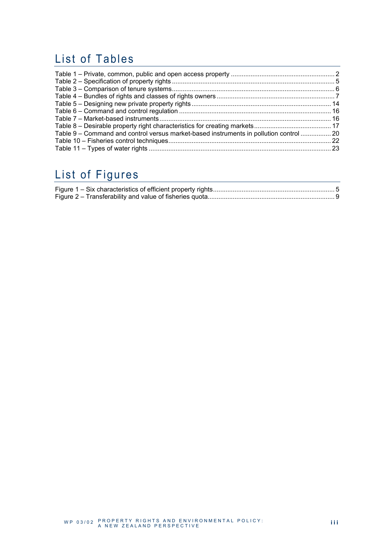# List of Tables

| Table 9 – Command and control versus market-based instruments in pollution control  20 |  |
|----------------------------------------------------------------------------------------|--|
|                                                                                        |  |
|                                                                                        |  |

# List of Figures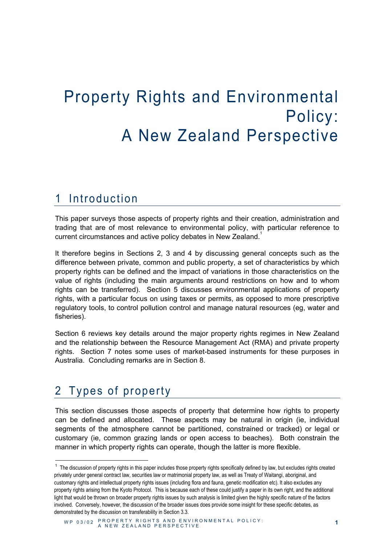# Property Rights and Environmental Policy: A New Zealand Perspective

# 1 Introduction

This paper surveys those aspects of property rights and their creation, administration and trading that are of most relevance to environmental policy, with particular reference to current circumstances and active policy debates in New Zealand.<sup>1</sup>

It therefore begins in Sections 2, 3 and 4 by discussing general concepts such as the difference between private, common and public property, a set of characteristics by which property rights can be defined and the impact of variations in those characteristics on the value of rights (including the main arguments around restrictions on how and to whom rights can be transferred). Section 5 discusses environmental applications of property rights, with a particular focus on using taxes or permits, as opposed to more prescriptive regulatory tools, to control pollution control and manage natural resources (eg, water and fisheries).

Section 6 reviews key details around the major property rights regimes in New Zealand and the relationship between the Resource Management Act (RMA) and private property rights. Section 7 notes some uses of market-based instruments for these purposes in Australia. Concluding remarks are in Section 8.

# 2 Types of property

 $\overline{a}$ 

This section discusses those aspects of property that determine how rights to property can be defined and allocated. These aspects may be natural in origin (ie, individual segments of the atmosphere cannot be partitioned, constrained or tracked) or legal or customary (ie, common grazing lands or open access to beaches). Both constrain the manner in which property rights can operate, though the latter is more flexible.

 $1$  The discussion of property rights in this paper includes those property rights specifically defined by law, but excludes rights created privately under general contract law, securities law or matrimonial property law, as well as Treaty of Waitangi, aboriginal, and customary rights and intellectual property rights issues (including flora and fauna, genetic modification etc). It also excludes any property rights arising from the Kyoto Protocol. This is because each of these could justify a paper in its own right, and the additional light that would be thrown on broader property rights issues by such analysis is limited given the highly specific nature of the factors involved. Conversely, however, the discussion of the broader issues does provide some insight for these specific debates, as demonstrated by the discussion on transferability in Section 3.3.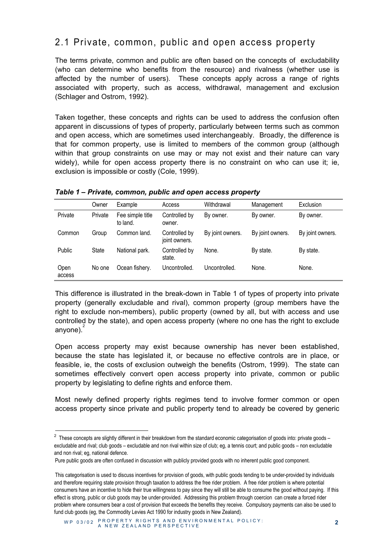### 2.1 Private, common, public and open access property

The terms private, common and public are often based on the concepts of excludability (who can determine who benefits from the resource) and rivalness (whether use is affected by the number of users). These concepts apply across a range of rights associated with property, such as access, withdrawal, management and exclusion (Schlager and Ostrom, 1992).

Taken together, these concepts and rights can be used to address the confusion often apparent in discussions of types of property, particularly between terms such as common and open access, which are sometimes used interchangeably. Broadly, the difference is that for common property, use is limited to members of the common group (although within that group constraints on use may or may not exist and their nature can vary widely), while for open access property there is no constraint on who can use it; ie, exclusion is impossible or costly (Cole, 1999).

|                | Owner   | Example                      | Access                         | Withdrawal       | Management       | Exclusion        |
|----------------|---------|------------------------------|--------------------------------|------------------|------------------|------------------|
| Private        | Private | Fee simple title<br>to land. | Controlled by<br>owner.        | By owner.        | By owner.        | By owner.        |
| Common         | Group   | Common land.                 | Controlled by<br>joint owners. | By joint owners. | By joint owners. | By joint owners. |
| Public         | State   | National park.               | Controlled by<br>state.        | None.            | By state.        | By state.        |
| Open<br>access | No one  | Ocean fishery.               | Uncontrolled.                  | Uncontrolled.    | None.            | None.            |

*Table 1 – Private, common, public and open access property* 

This difference is illustrated in the break-down in Table 1 of types of property into private property (generally excludable and rival), common property (group members have the right to exclude non-members), public property (owned by all, but with access and use controlled by the state), and open access property (where no one has the right to exclude anyone). $\epsilon$ 

Open access property may exist because ownership has never been established, because the state has legislated it, or because no effective controls are in place, or feasible, ie, the costs of exclusion outweigh the benefits (Ostrom, 1999). The state can sometimes effectively convert open access property into private, common or public property by legislating to define rights and enforce them.

Most newly defined property rights regimes tend to involve former common or open access property since private and public property tend to already be covered by generic

l

<sup>&</sup>lt;sup>2</sup> These concepts are slightly different in their breakdown from the standard economic categorisation of goods into: private goods – excludable and rival; club goods – excludable and non rival within size of club; eg, a tennis court; and public goods – non excludable and non rival; eg, national defence.

Pure public goods are often confused in discussion with publicly provided goods with no inherent public good component.

This categorisation is used to discuss incentives for provision of goods, with public goods tending to be under-provided by individuals and therefore requiring state provision through taxation to address the free rider problem. A free rider problem is where potential consumers have an incentive to hide their true willingness to pay since they will still be able to consume the good without paying. If this effect is strong, public or club goods may be under-provided. Addressing this problem through coercion can create a forced rider problem where consumers bear a cost of provision that exceeds the benefits they receive. Compulsory payments can also be used to fund club goods (eg, the Commodity Levies Act 1990 for industry goods in New Zealand).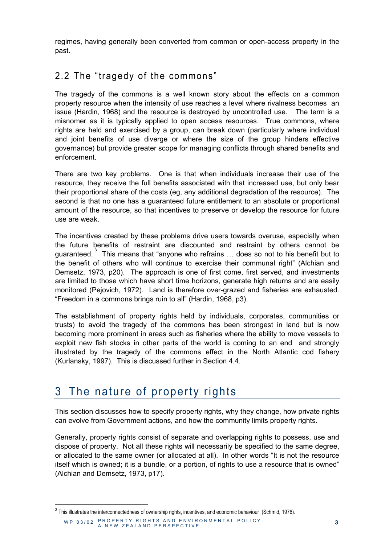regimes, having generally been converted from common or open-access property in the past.

## 2.2 The "tragedy of the commons"

The tragedy of the commons is a well known story about the effects on a common property resource when the intensity of use reaches a level where rivalness becomes an issue (Hardin, 1968) and the resource is destroyed by uncontrolled use. The term is a misnomer as it is typically applied to open access resources. True commons, where rights are held and exercised by a group, can break down (particularly where individual and joint benefits of use diverge or where the size of the group hinders effective governance) but provide greater scope for managing conflicts through shared benefits and enforcement.

There are two key problems. One is that when individuals increase their use of the resource, they receive the full benefits associated with that increased use, but only bear their proportional share of the costs (eg, any additional degradation of the resource). The second is that no one has a guaranteed future entitlement to an absolute or proportional amount of the resource, so that incentives to preserve or develop the resource for future use are weak.

The incentives created by these problems drive users towards overuse, especially when the future benefits of restraint are discounted and restraint by others cannot be guaranteed.  $\degree$  This means that "anyone who refrains ... does so not to his benefit but to the benefit of others who will continue to exercise their communal right" (Alchian and Demsetz, 1973, p20). The approach is one of first come, first served, and investments are limited to those which have short time horizons, generate high returns and are easily monitored (Pejovich, 1972). Land is therefore over-grazed and fisheries are exhausted. "Freedom in a commons brings ruin to all" (Hardin, 1968, p3).

The establishment of property rights held by individuals, corporates, communities or trusts) to avoid the tragedy of the commons has been strongest in land but is now becoming more prominent in areas such as fisheries where the ability to move vessels to exploit new fish stocks in other parts of the world is coming to an end and strongly illustrated by the tragedy of the commons effect in the North Atlantic cod fishery (Kurlansky, 1997). This is discussed further in Section 4.4.

# 3 The nature of property rights

This section discusses how to specify property rights, why they change, how private rights can evolve from Government actions, and how the community limits property rights.

Generally, property rights consist of separate and overlapping rights to possess, use and dispose of property. Not all these rights will necessarily be specified to the same degree, or allocated to the same owner (or allocated at all). In other words "It is not the resource itself which is owned; it is a bundle, or a portion, of rights to use a resource that is owned" (Alchian and Demsetz, 1973, p17).

WP 03/02 PROPERTY RIGHTS AND EN VIRONMENTAL POLICY: A NEW ZEALAND PERSPECTIVE **<sup>3</sup>**

 $\overline{a}$ 

 $3$  This illustrates the interconnectedness of ownership rights, incentives, and economic behaviour (Schmid, 1976).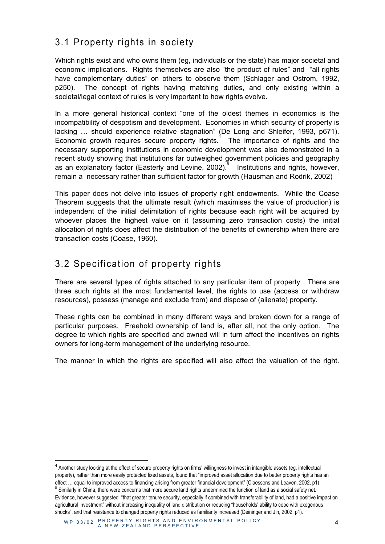# 3.1 Property rights in society

Which rights exist and who owns them (eg, individuals or the state) has major societal and economic implications. Rights themselves are also "the product of rules" and "all rights have complementary duties" on others to observe them (Schlager and Ostrom, 1992, p250). The concept of rights having matching duties, and only existing within a societal/legal context of rules is very important to how rights evolve.

In a more general historical context "one of the oldest themes in economics is the incompatibility of despotism and development. Economies in which security of property is lacking … should experience relative stagnation" (De Long and Shleifer, 1993, p671). Economic growth requires secure property rights.<sup>4</sup> The importance of rights and the necessary supporting institutions in economic development was also demonstrated in a recent study showing that institutions far outweighed government policies and geography as an explanatory factor (Easterly and Levine, 2002). Institutions and rights, however, remain a necessary rather than sufficient factor for growth (Hausman and Rodrik, 2002)

This paper does not delve into issues of property right endowments. While the Coase Theorem suggests that the ultimate result (which maximises the value of production) is independent of the initial delimitation of rights because each right will be acquired by whoever places the highest value on it (assuming zero transaction costs) the initial allocation of rights does affect the distribution of the benefits of ownership when there are transaction costs (Coase, 1960).

# 3.2 Specification of property rights

There are several types of rights attached to any particular item of property. There are three such rights at the most fundamental level, the rights to use (access or withdraw resources), possess (manage and exclude from) and dispose of (alienate) property.

These rights can be combined in many different ways and broken down for a range of particular purposes. Freehold ownership of land is, after all, not the only option. The degree to which rights are specified and owned will in turn affect the incentives on rights owners for long-term management of the underlying resource.

The manner in which the rights are specified will also affect the valuation of the right.

 $\overline{a}$ 

<sup>&</sup>lt;sup>4</sup> Another study looking at the effect of secure property rights on firms' willingness to invest in intangible assets (eg, intellectual property), rather than more easily protected fixed assets, found that "improved asset allocation due to better property rights has an effect … equal to improved access to financing arising from greater financial development" (Claessens and Leaven, 2002, p1) <sup>5</sup> Similarly in China, there were concerns that more secure land rights undermined the function of land as a social safety net. Evidence, however suggested "that greater tenure security, especially if combined with transferability of land, had a positive impact on agricultural investment" without increasing inequality of land distribution or reducing "households' ability to cope with exogenous shocks", and that resistance to changed property rights reduced as familiarity increased (Deininger and Jin, 2002, p1).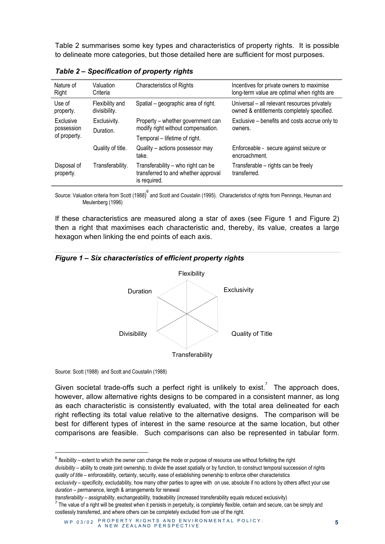Table 2 summarises some key types and characteristics of property rights. It is possible to delineate more categories, but those detailed here are sufficient for most purposes.

| Nature of<br>Right                      | Valuation<br>Criteria            | <b>Characteristics of Rights</b>                                                                         | Incentives for private owners to maximise<br>long-term value are optimal when rights are   |
|-----------------------------------------|----------------------------------|----------------------------------------------------------------------------------------------------------|--------------------------------------------------------------------------------------------|
| Use of<br>property.                     | Flexibility and<br>divisibility. | Spatial - geographic area of right.                                                                      | Universal - all relevant resources privately<br>owned & entitlements completely specified. |
| Exclusive<br>possession<br>of property. | Exclusivity.<br>Duration.        | Property – whether government can<br>modify right without compensation.<br>Temporal – lifetime of right. | Exclusive – benefits and costs accrue only to<br>owners.                                   |
|                                         | Quality of title.                | Quality - actions possessor may<br>take.                                                                 | Enforceable - secure against seizure or<br>encroachment.                                   |
| Disposal of<br>property.                | Transferability.                 | Transferability – who right can be<br>transferred to and whether approval<br>is required.                | Transferable – rights can be freely<br>transferred.                                        |

*Table 2 – Specification of property rights* 

Source: Valuation criteria from Scott (1988) <sup>6</sup> and Scott and Coustalin (1995). Characteristics of rights from Pennings, Heuman and Meulenberg (1996)

If these characteristics are measured along a star of axes (see Figure 1 and Figure 2) then a right that maximises each characteristic and, thereby, its value, creates a large hexagon when linking the end points of each axis.

*Figure 1 – Six characteristics of efficient property rights* 



Source: Scott (1988) and Scott and Coustalin (1988)

 $\overline{a}$ 

Given societal trade-offs such a perfect right is unlikely to exist.<sup>7</sup> The approach does, however, allow alternative rights designs to be compared in a consistent manner, as long as each characteristic is consistently evaluated, with the total area delineated for each right reflecting its total value relative to the alternative designs. The comparison will be best for different types of interest in the same resource at the same location, but other comparisons are feasible. Such comparisons can also be represented in tabular form.

<sup>6</sup> *flexibility* – extent to which the owner can change the mode or purpose of resource use without forfeiting the right *divisibility* – ability to create joint ownership, to divide the asset spatially or by function, to construct temporal succession of rights *quality of title* – enforceability, certainty, security, ease of establishing ownership to enforce other characteristics

*exclusivity* – specificity, excludability, how many other parties to agree with on use, absolute if no actions by others affect your use *duration* – permanence, length & arrangements for renewal

*transferability* – assignability, exchangeability, tradeability (increased transferability equals reduced exclusivity)

 $^7$  The value of a right will be greatest when it persists in perpetuity, is completely flexible, certain and secure, can be simply and costlessly transferred, and where others can be completely excluded from use of the right.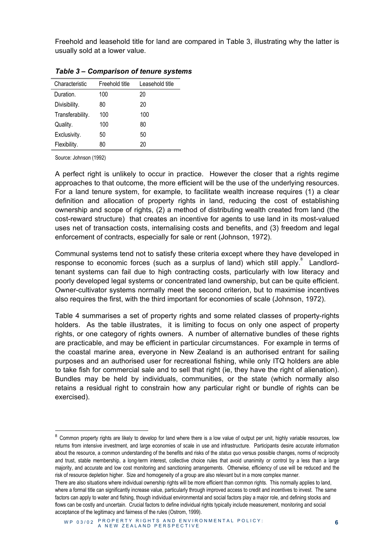Freehold and leasehold title for land are compared in Table 3, illustrating why the latter is usually sold at a lower value.

| Characteristic   | Freehold title | Leasehold title |
|------------------|----------------|-----------------|
| Duration.        | 100            | 20              |
| Divisibility.    | 80             | 20              |
| Transferability. | 100            | 100             |
| Quality.         | 100            | 80              |
| Exclusivity.     | 50             | 50              |
| Flexibility.     | 80             | 20              |

| Table 3 - Comparison of tenure systems |
|----------------------------------------|
|----------------------------------------|

Source: Johnson (1992)

l

A perfect right is unlikely to occur in practice. However the closer that a rights regime approaches to that outcome, the more efficient will be the use of the underlying resources. For a land tenure system, for example, to facilitate wealth increase requires (1) a clear definition and allocation of property rights in land, reducing the cost of establishing ownership and scope of rights, (2) a method of distributing wealth created from land (the cost-reward structure) that creates an incentive for agents to use land in its most-valued uses net of transaction costs, internalising costs and benefits, and (3) freedom and legal enforcement of contracts, especially for sale or rent (Johnson, 1972).

Communal systems tend not to satisfy these criteria except where they have developed in response to economic forces (such as a surplus of land) which still apply.<sup>8</sup> Landlordtenant systems can fail due to high contracting costs, particularly with low literacy and poorly developed legal systems or concentrated land ownership, but can be quite efficient. Owner-cultivator systems normally meet the second criterion, but to maximise incentives also requires the first, with the third important for economies of scale (Johnson, 1972).

Table 4 summarises a set of property rights and some related classes of property-rights holders. As the table illustrates, it is limiting to focus on only one aspect of property rights, or one category of rights owners. A number of alternative bundles of these rights are practicable, and may be efficient in particular circumstances. For example in terms of the coastal marine area, everyone in New Zealand is an authorised entrant for sailing purposes and an authorised user for recreational fishing, while only ITQ holders are able to take fish for commercial sale and to sell that right (ie, they have the right of alienation). Bundles may be held by individuals, communities, or the state (which normally also retains a residual right to constrain how any particular right or bundle of rights can be exercised).

<sup>&</sup>lt;sup>8</sup> Common property rights are likely to develop for land where there is a low value of output per unit, highly variable resources, low returns from intensive investment, and large economies of scale in use and infrastructure. Participants desire accurate information about the resource, a common understanding of the benefits and risks of the *status quo* versus possible changes, norms of reciprocity and trust, stable membership, a long-term interest, collective choice rules that avoid unanimity or control by a less than a large majority, and accurate and low cost monitoring and sanctioning arrangements. Otherwise, efficiency of use will be reduced and the risk of resource depletion higher. Size and homogeneity of a group are also relevant but in a more complex manner.

There are also situations where individual ownership rights will be more efficient than common rights. This normally applies to land, where a formal title can significantly increase value, particularly through improved access to credit and incentives to invest. The same factors can apply to water and fishing, though individual environmental and social factors play a major role, and defining stocks and flows can be costly and uncertain. Crucial factors to define individual rights typically include measurement, monitoring and social acceptance of the legitimacy and fairness of the rules (Ostrom, 1999).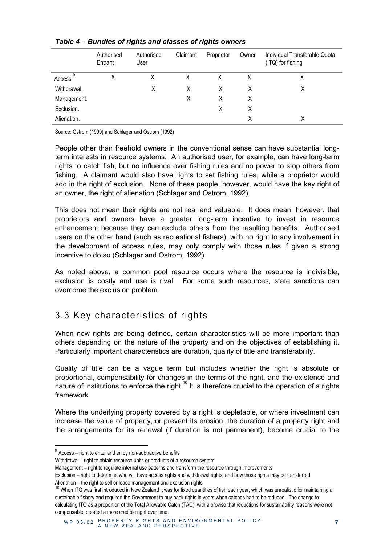|              | Authorised<br>Entrant | Authorised<br>User | Claimant | Proprietor | Owner | Individual Transferable Quota<br>(ITQ) for fishing |
|--------------|-----------------------|--------------------|----------|------------|-------|----------------------------------------------------|
| 9<br>Access. | Χ                     | Χ                  | X        | X          |       | Χ                                                  |
| Withdrawal.  |                       | Χ                  | x        | Χ          | X     | Χ                                                  |
| Management.  |                       |                    | X        | Χ          | X     |                                                    |
| Exclusion.   |                       |                    |          | Χ          | X     |                                                    |
| Alienation.  |                       |                    |          |            | X     | Χ                                                  |

#### *Table 4 – Bundles of rights and classes of rights owners*

Source: Ostrom (1999) and Schlager and Ostrom (1992)

People other than freehold owners in the conventional sense can have substantial longterm interests in resource systems. An authorised user, for example, can have long-term rights to catch fish, but no influence over fishing rules and no power to stop others from fishing. A claimant would also have rights to set fishing rules, while a proprietor would add in the right of exclusion. None of these people, however, would have the key right of an owner, the right of alienation (Schlager and Ostrom, 1992).

This does not mean their rights are not real and valuable. It does mean, however, that proprietors and owners have a greater long-term incentive to invest in resource enhancement because they can exclude others from the resulting benefits. Authorised users on the other hand (such as recreational fishers), with no right to any involvement in the development of access rules, may only comply with those rules if given a strong incentive to do so (Schlager and Ostrom, 1992).

As noted above, a common pool resource occurs where the resource is indivisible, exclusion is costly and use is rival. For some such resources, state sanctions can overcome the exclusion problem.

### 3.3 Key characteristics of rights

When new rights are being defined, certain characteristics will be more important than others depending on the nature of the property and on the objectives of establishing it. Particularly important characteristics are duration, quality of title and transferability.

Quality of title can be a vague term but includes whether the right is absolute or proportional, compensability for changes in the terms of the right, and the existence and nature of institutions to enforce the right.<sup>10</sup> It is therefore crucial to the operation of a rights framework.

Where the underlying property covered by a right is depletable, or where investment can increase the value of property, or prevent its erosion, the duration of a property right and the arrangements for its renewal (if duration is not permanent), become crucial to the

 $\overline{a}$ 

 $9$  Access – right to enter and enjoy non-subtractive benefits

Withdrawal – right to obtain resource units or products of a resource system

Management – right to regulate internal use patterns and transform the resource through improvements

Exclusion – right to determine who will have access rights and withdrawal rights, and how those rights may be transferred Alienation – the right to sell or lease management and exclusion rights

<sup>&</sup>lt;sup>10</sup> When ITQ was first introduced in New Zealand it was for fixed quantities of fish each year, which was unrealistic for maintaining a sustainable fishery and required the Government to buy back rights in years when catches had to be reduced. The change to calculating ITQ as a proportion of the Total Allowable Catch (TAC), with a proviso that reductions for sustainability reasons were not compensable, created a more credible right over time.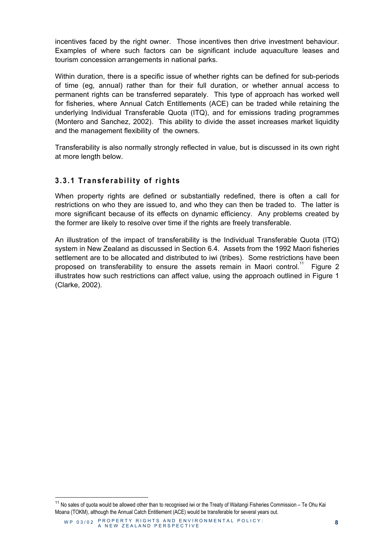incentives faced by the right owner. Those incentives then drive investment behaviour. Examples of where such factors can be significant include aquaculture leases and tourism concession arrangements in national parks.

Within duration, there is a specific issue of whether rights can be defined for sub-periods of time (eg, annual) rather than for their full duration, or whether annual access to permanent rights can be transferred separately. This type of approach has worked well for fisheries, where Annual Catch Entitlements (ACE) can be traded while retaining the underlying Individual Transferable Quota (ITQ), and for emissions trading programmes (Montero and Sanchez, 2002). This ability to divide the asset increases market liquidity and the management flexibility of the owners.

Transferability is also normally strongly reflected in value, but is discussed in its own right at more length below.

#### **3.3.1 Transferability of rights**

When property rights are defined or substantially redefined, there is often a call for restrictions on who they are issued to, and who they can then be traded to. The latter is more significant because of its effects on dynamic efficiency. Any problems created by the former are likely to resolve over time if the rights are freely transferable.

An illustration of the impact of transferability is the Individual Transferable Quota (ITQ) system in New Zealand as discussed in Section 6.4. Assets from the 1992 Maori fisheries settlement are to be allocated and distributed to iwi (tribes). Some restrictions have been proposed on transferability to ensure the assets remain in Maori control.<sup>11</sup> Figure 2 illustrates how such restrictions can affect value, using the approach outlined in Figure 1 (Clarke, 2002).

 $\overline{\phantom{a}}$ 

<sup>&</sup>lt;sup>11</sup> No sales of quota would be allowed other than to recognised iwi or the Treaty of Waitangi Fisheries Commission – Te Ohu Kai Moana (TOKM), although the Annual Catch Entitlement (ACE) would be transferable for several years out.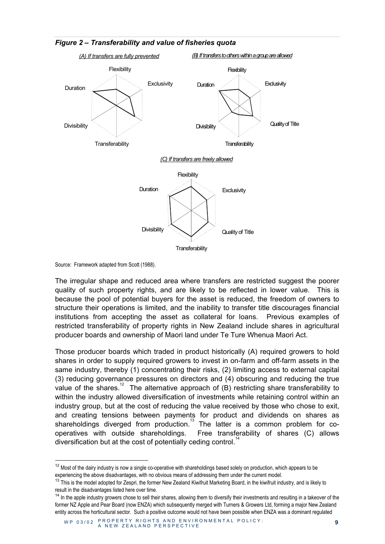

*Figure 2 – Transferability and value of fisheries quota* 

Source: Framework adapted from Scott (1988).

 $\overline{\phantom{a}}$ 

The irregular shape and reduced area where transfers are restricted suggest the poorer quality of such property rights, and are likely to be reflected in lower value. This is because the pool of potential buyers for the asset is reduced, the freedom of owners to structure their operations is limited, and the inability to transfer title discourages financial institutions from accepting the asset as collateral for loans. Previous examples of restricted transferability of property rights in New Zealand include shares in agricultural producer boards and ownership of Maori land under Te Ture Whenua Maori Act.

Those producer boards which traded in product historically (A) required growers to hold shares in order to supply required growers to invest in on-farm and off-farm assets in the same industry, thereby (1) concentrating their risks, (2) limiting access to external capital (3) reducing governance pressures on directors and (4) obscuring and reducing the true value of the shares.<sup>12</sup> The alternative approach of  $(B)$  restricting share transferability to within the industry allowed diversification of investments while retaining control within an industry group, but at the cost of reducing the value received by those who chose to exit, and creating tensions between payments for product and dividends on shares as shareholdings diverged from production.<sup>13</sup> The latter is a common problem for cooperatives with outside shareholdings. Free transferability of shares (C) allows diversification but at the cost of potentially ceding control.<sup>1</sup>

<sup>&</sup>lt;sup>12</sup> Most of the dairy industry is now a single co-operative with shareholdings based solely on production, which appears to be experiencing the above disadvantages, with no obvious means of addressing them under the current model.

<sup>&</sup>lt;sup>13</sup> This is the model adopted for Zespri, the former New Zealand Kiwifruit Marketing Board, in the kiwifruit industry, and is likely to result in the disadvantages listed here over time.

<sup>&</sup>lt;sup>14</sup> In the apple industry growers chose to sell their shares, allowing them to diversify their investments and resulting in a takeover of the former NZ Apple and Pear Board (now ENZA) which subsequently merged with Turners & Growers Ltd, forming a major New Zealand entity across the horticultural sector. Such a positive outcome would not have been possible when ENZA was a dominant regulated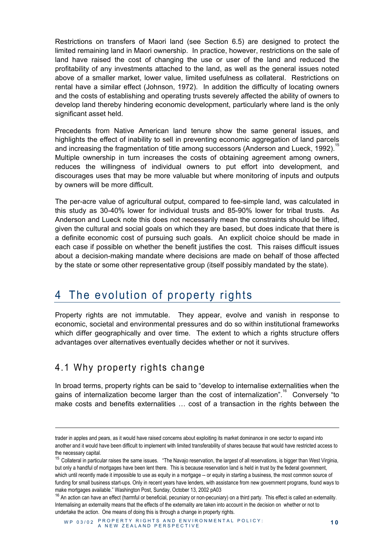Restrictions on transfers of Maori land (see Section 6.5) are designed to protect the limited remaining land in Maori ownership. In practice, however, restrictions on the sale of land have raised the cost of changing the use or user of the land and reduced the profitability of any investments attached to the land, as well as the general issues noted above of a smaller market, lower value, limited usefulness as collateral. Restrictions on rental have a similar effect (Johnson, 1972). In addition the difficulty of locating owners and the costs of establishing and operating trusts severely affected the ability of owners to develop land thereby hindering economic development, particularly where land is the only significant asset held.

Precedents from Native American land tenure show the same general issues, and highlights the effect of inability to sell in preventing economic aggregation of land parcels and increasing the fragmentation of title among successors (Anderson and Lueck, 1992).<sup>15</sup> Multiple ownership in turn increases the costs of obtaining agreement among owners, reduces the willingness of individual owners to put effort into development, and discourages uses that may be more valuable but where monitoring of inputs and outputs by owners will be more difficult.

The per-acre value of agricultural output, compared to fee-simple land, was calculated in this study as 30-40% lower for individual trusts and 85-90% lower for tribal trusts. As Anderson and Lueck note this does not necessarily mean the constraints should be lifted, given the cultural and social goals on which they are based, but does indicate that there is a definite economic cost of pursuing such goals. An explicit choice should be made in each case if possible on whether the benefit justifies the cost. This raises difficult issues about a decision-making mandate where decisions are made on behalf of those affected by the state or some other representative group (itself possibly mandated by the state).

# 4 The evolution of property rights

Property rights are not immutable. They appear, evolve and vanish in response to economic, societal and environmental pressures and do so within institutional frameworks which differ geographically and over time. The extent to which a rights structure offers advantages over alternatives eventually decides whether or not it survives.

### 4.1 Why property rights change

-

In broad terms, property rights can be said to "develop to internalise externalities when the gains of internalization become larger than the cost of internalization".<sup>16</sup> Conversely "to make costs and benefits externalities … cost of a transaction in the rights between the

trader in apples and pears, as it would have raised concerns about exploiting its market dominance in one sector to expand into another and it would have been difficult to implement with limited transferability of shares because that would have restricted access to the necessary capital.

<sup>&</sup>lt;sup>15</sup> Collateral in particular raises the same issues. "The Navajo reservation, the largest of all reservations, is bigger than West Virginia, but only a handful of mortgages have been lent there. This is because reservation land is held in trust by the federal government, which until recently made it impossible to use as equity in a mortgage -- or equity in starting a business, the most common source of funding for small business start-ups. Only in recent years have lenders, with assistance from new government programs, found ways to make mortgages available." Washington Post, Sunday, October 13, 2002 pA03

<sup>&</sup>lt;sup>16</sup> An action can have an effect (harmful or beneficial, pecuniary or non-pecuniary) on a third party. This effect is called an externality. Internalising an externality means that the effects of the externality are taken into account in the decision on whether or not to undertake the action. One means of doing this is through a change in property rights.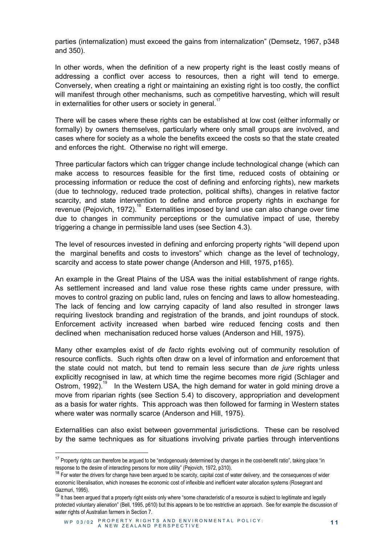parties (internalization) must exceed the gains from internalization" (Demsetz, 1967, p348 and 350).

In other words, when the definition of a new property right is the least costly means of addressing a conflict over access to resources, then a right will tend to emerge. Conversely, when creating a right or maintaining an existing right is too costly, the conflict will manifest through other mechanisms, such as competitive harvesting, which will result in externalities for other users or society in general. $17$ 

There will be cases where these rights can be established at low cost (either informally or formally) by owners themselves, particularly where only small groups are involved, and cases where for society as a whole the benefits exceed the costs so that the state created and enforces the right. Otherwise no right will emerge.

Three particular factors which can trigger change include technological change (which can make access to resources feasible for the first time, reduced costs of obtaining or processing information or reduce the cost of defining and enforcing rights), new markets (due to technology, reduced trade protection, political shifts), changes in relative factor scarcity, and state intervention to define and enforce property rights in exchange for revenue (Pejovich, 1972).<sup>18</sup> Externalities imposed by land use can also change over time due to changes in community perceptions or the cumulative impact of use, thereby triggering a change in permissible land uses (see Section 4.3).

The level of resources invested in defining and enforcing property rights "will depend upon the marginal benefits and costs to investors" which change as the level of technology, scarcity and access to state power change (Anderson and Hill, 1975, p165).

An example in the Great Plains of the USA was the initial establishment of range rights. As settlement increased and land value rose these rights came under pressure, with moves to control grazing on public land, rules on fencing and laws to allow homesteading. The lack of fencing and low carrying capacity of land also resulted in stronger laws requiring livestock branding and registration of the brands, and joint roundups of stock. Enforcement activity increased when barbed wire reduced fencing costs and then declined when mechanisation reduced horse values (Anderson and Hill, 1975).

Many other examples exist of *de facto* rights evolving out of community resolution of resource conflicts. Such rights often draw on a level of information and enforcement that the state could not match, but tend to remain less secure than *de jure* rights unless explicitly recognised in law, at which time the regime becomes more rigid (Schlager and Ostrom, 1992).<sup>19</sup> In the Western USA, the high demand for water in gold mining drove a move from riparian rights (see Section 5.4) to discovery, appropriation and development as a basis for water rights. This approach was then followed for farming in Western states where water was normally scarce (Anderson and Hill, 1975).

Externalities can also exist between governmental jurisdictions. These can be resolved by the same techniques as for situations involving private parties through interventions

 $\overline{a}$ 

<sup>&</sup>lt;sup>17</sup> Property rights can therefore be argued to be "endogenously determined by changes in the cost-benefit ratio", taking place "in response to the desire of interacting persons for more utility" (Pejovich, 1972, p310).

<sup>&</sup>lt;sup>18</sup> For water the drivers for change have been argued to be scarcity, capital cost of water delivery, and the consequences of wider economic liberalisation, which increases the economic cost of inflexible and inefficient water allocation systems (Rosegrant and Gazmuri, 1995).

<sup>&</sup>lt;sup>19</sup> It has been arqued that a property right exists only where "some characteristic of a resource is subject to legitimate and legally protected voluntary alienation" (Bell, 1995, p610) but this appears to be too restrictive an approach. See for example the discussion of water rights of Australian farmers in Section 7.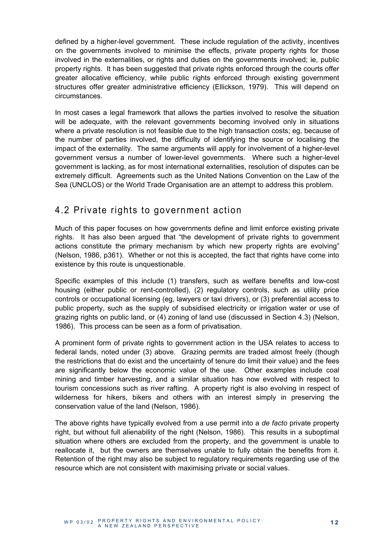defined by a higher-level government. These include regulation of the activity, incentives on the governments involved to minimise the effects, private property rights for those involved in the externalities, or rights and duties on the governments involved; ie, public property rights. It has been suggested that private rights enforced through the courts offer greater allocative efficiency, while public rights enforced through existing government structures offer greater administrative efficiency (Ellickson, 1979). This will depend on circumstances.

In most cases a legal framework that allows the parties involved to resolve the situation will be adequate, with the relevant governments becoming involved only in situations where a private resolution is not feasible due to the high transaction costs; eg, because of the number of parties involved, the difficulty of identifying the source or localising the impact of the externality. The same arguments will apply for involvement of a higher-level government versus a number of lower-level governments. Where such a higher-level government is lacking, as for most international externalities, resolution of disputes can be extremely difficult. Agreements such as the United Nations Convention on the Law of the Sea (UNCLOS) or the World Trade Organisation are an attempt to address this problem.

### 4.2 Private rights to government action

Much of this paper focuses on how governments define and limit enforce existing private rights. It has also been argued that "the development of private rights to government actions constitute the primary mechanism by which new property rights are evolving" (Nelson, 1986, p361). Whether or not this is accepted, the fact that rights have come into existence by this route is unquestionable.

Specific examples of this include (1) transfers, such as welfare benefits and low-cost housing (either public or rent-controlled), (2) regulatory controls, such as utility price controls or occupational licensing (eg, lawyers or taxi drivers), or (3) preferential access to public property, such as the supply of subsidised electricity or irrigation water or use of grazing rights on public land, or (4) zoning of land use (discussed in Section 4.3) (Nelson, 1986). This process can be seen as a form of privatisation.

A prominent form of private rights to government action in the USA relates to access to federal lands, noted under (3) above. Grazing permits are traded almost freely (though the restrictions that do exist and the uncertainty of tenure do limit their value) and the fees are significantly below the economic value of the use. Other examples include coal mining and timber harvesting, and a similar situation has now evolved with respect to tourism concessions such as river rafting. A property right is also evolving in respect of wilderness for hikers, bikers and others with an interest simply in preserving the conservation value of the land (Nelson, 1986).

The above rights have typically evolved from a use permit into a *de facto* private property right, but without full alienability of the right (Nelson, 1986). This results in a suboptimal situation where others are excluded from the property, and the government is unable to reallocate it, but the owners are themselves unable to fully obtain the benefits from it. Retention of the right may also be subject to regulatory requirements regarding use of the resource which are not consistent with maximising private or social values.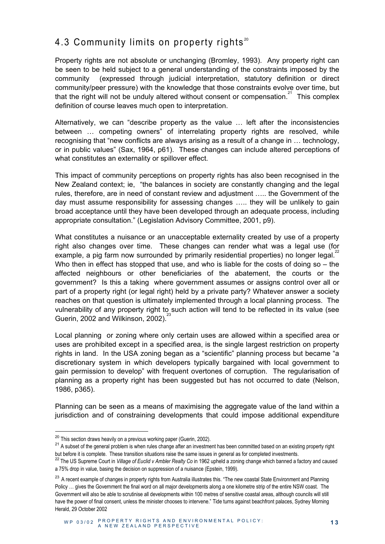# 4.3 Community limits on property rights<sup>20</sup>

Property rights are not absolute or unchanging (Bromley, 1993). Any property right can be seen to be held subject to a general understanding of the constraints imposed by the community (expressed through judicial interpretation, statutory definition or direct community/peer pressure) with the knowledge that those constraints evolve over time, but that the right will not be unduly altered without consent or compensation.<sup>21</sup> This complex definition of course leaves much open to interpretation.

Alternatively, we can "describe property as the value … left after the inconsistencies between … competing owners" of interrelating property rights are resolved, while recognising that "new conflicts are always arising as a result of a change in … technology, or in public values" (Sax, 1964, p61). These changes can include altered perceptions of what constitutes an externality or spillover effect.

This impact of community perceptions on property rights has also been recognised in the New Zealand context; ie, "the balances in society are constantly changing and the legal rules, therefore, are in need of constant review and adjustment ….. the Government of the day must assume responsibility for assessing changes ….. they will be unlikely to gain broad acceptance until they have been developed through an adequate process, including appropriate consultation." (Legislation Advisory Committee, 2001, p9).

What constitutes a nuisance or an unacceptable externality created by use of a property right also changes over time. These changes can render what was a legal use (for example, a pig farm now surrounded by primarily residential properties) no longer legal. Who then in effect has stopped that use, and who is liable for the costs of doing so – the affected neighbours or other beneficiaries of the abatement, the courts or the government? Is this a taking where government assumes or assigns control over all or part of a property right (or legal right) held by a private party? Whatever answer a society reaches on that question is ultimately implemented through a local planning process. The vulnerability of any property right to such action will tend to be reflected in its value (see Guerin, 2002 and Wilkinson, 2002).<sup>2</sup>

Local planning or zoning where only certain uses are allowed within a specified area or uses are prohibited except in a specified area, is the single largest restriction on property rights in land. In the USA zoning began as a "scientific" planning process but became "a discretionary system in which developers typically bargained with local government to gain permission to develop" with frequent overtones of corruption. The regularisation of planning as a property right has been suggested but has not occurred to date (Nelson, 1986, p365).

Planning can be seen as a means of maximising the aggregate value of the land within a jurisdiction and of constraining developments that could impose additional expenditure

l

<sup>21</sup> A subset of the general problem is when rules change after an investment has been committed based on an existing property right but before it is complete. These transition situations raise the same issues in general as for completed investments.

 $20$  This section draws heavily on a previous working paper (Guerin, 2002).

<sup>&</sup>lt;sup>22</sup> The US Supreme Court in *Village of Euclid v Ambler Realty Co* in 1962 upheld a zoning change which banned a factory and caused a 75% drop in value, basing the decision on suppression of a nuisance (Epstein, 1999).

<sup>&</sup>lt;sup>23</sup> A recent example of changes in property rights from Australia illustrates this. "The new coastal State Environment and Planning Policy … gives the Government the final word on all major developments along a one kilometre strip of the entire NSW coast. The Government will also be able to scrutinise all developments within 100 metres of sensitive coastal areas, although councils will still have the power of final consent, unless the minister chooses to intervene." Tide turns against beachfront palaces, Sydney Morning Herald, 29 October 2002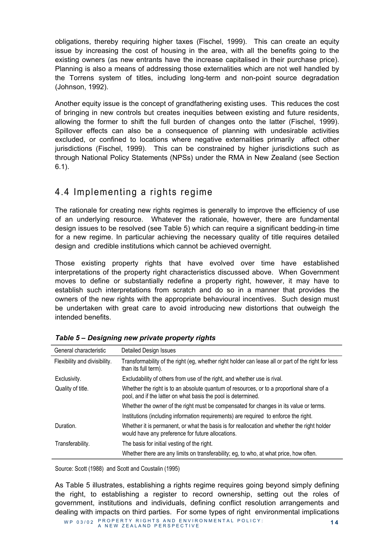obligations, thereby requiring higher taxes (Fischel, 1999). This can create an equity issue by increasing the cost of housing in the area, with all the benefits going to the existing owners (as new entrants have the increase capitalised in their purchase price). Planning is also a means of addressing those externalities which are not well handled by the Torrens system of titles, including long-term and non-point source degradation (Johnson, 1992).

Another equity issue is the concept of grandfathering existing uses. This reduces the cost of bringing in new controls but creates inequities between existing and future residents, allowing the former to shift the full burden of changes onto the latter (Fischel, 1999). Spillover effects can also be a consequence of planning with undesirable activities excluded, or confined to locations where negative externalities primarily affect other jurisdictions (Fischel, 1999). This can be constrained by higher jurisdictions such as through National Policy Statements (NPSs) under the RMA in New Zealand (see Section 6.1).

## 4.4 Implementing a rights regime

The rationale for creating new rights regimes is generally to improve the efficiency of use of an underlying resource. Whatever the rationale, however, there are fundamental design issues to be resolved (see Table 5) which can require a significant bedding-in time for a new regime. In particular achieving the necessary quality of title requires detailed design and credible institutions which cannot be achieved overnight.

Those existing property rights that have evolved over time have established interpretations of the property right characteristics discussed above. When Government moves to define or substantially redefine a property right, however, it may have to establish such interpretations from scratch and do so in a manner that provides the owners of the new rights with the appropriate behavioural incentives. Such design must be undertaken with great care to avoid introducing new distortions that outweigh the intended benefits.

| General characteristic        | Detailed Design Issues                                                                                                                                     |
|-------------------------------|------------------------------------------------------------------------------------------------------------------------------------------------------------|
| Flexibility and divisibility. | Transformability of the right (eg, whether right holder can lease all or part of the right for less<br>than its full term).                                |
| Exclusivity.                  | Excludability of others from use of the right, and whether use is rival.                                                                                   |
| Quality of title.             | Whether the right is to an absolute quantum of resources, or to a proportional share of a<br>pool, and if the latter on what basis the pool is determined. |
|                               | Whether the owner of the right must be compensated for changes in its value or terms.                                                                      |
|                               | Institutions (including information requirements) are required to enforce the right.                                                                       |
| Duration.                     | Whether it is permanent, or what the basis is for reallocation and whether the right holder<br>would have any preference for future allocations.           |
| Transferability.              | The basis for initial vesting of the right.                                                                                                                |
|                               | Whether there are any limits on transferability; eg, to who, at what price, how often.                                                                     |

|  | Table 5 - Designing new private property rights |
|--|-------------------------------------------------|
|--|-------------------------------------------------|

Source: Scott (1988) and Scott and Coustalin (1995)

As Table 5 illustrates, establishing a rights regime requires going beyond simply defining the right, to establishing a register to record ownership, setting out the roles of government, institutions and individuals, defining conflict resolution arrangements and dealing with impacts on third parties. For some types of right environmental implications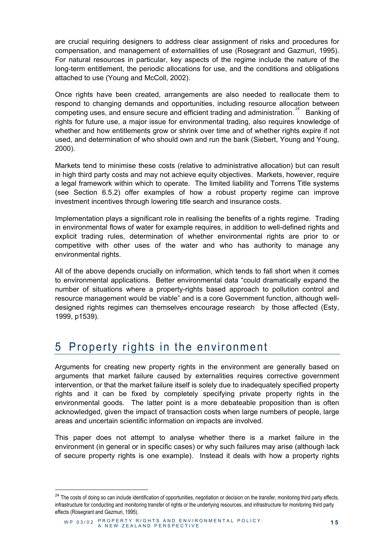are crucial requiring designers to address clear assignment of risks and procedures for compensation, and management of externalities of use (Rosegrant and Gazmuri, 1995). For natural resources in particular, key aspects of the regime include the nature of the long-term entitlement, the periodic allocations for use, and the conditions and obligations attached to use (Young and McColl, 2002).

Once rights have been created, arrangements are also needed to reallocate them to respond to changing demands and opportunities, including resource allocation between competing uses, and ensure secure and efficient trading and administration.<sup>24</sup> Banking of rights for future use, a major issue for environmental trading, also requires knowledge of whether and how entitlements grow or shrink over time and of whether rights expire if not used, and determination of who should own and run the bank (Siebert, Young and Young, 2000).

Markets tend to minimise these costs (relative to administrative allocation) but can result in high third party costs and may not achieve equity objectives. Markets, however, require a legal framework within which to operate. The limited liability and Torrens Title systems (see Section 6.5.2) offer examples of how a robust property regime can improve investment incentives through lowering title search and insurance costs.

Implementation plays a significant role in realising the benefits of a rights regime. Trading in environmental flows of water for example requires, in addition to well-defined rights and explicit trading rules, determination of whether environmental rights are prior to or competitive with other uses of the water and who has authority to manage any environmental rights.

All of the above depends crucially on information, which tends to fall short when it comes to environmental applications. Better environmental data "could dramatically expand the number of situations where a property-rights based approach to pollution control and resource management would be viable" and is a core Government function, although welldesigned rights regimes can themselves encourage research by those affected (Esty, 1999, p1539).

# 5 Property rights in the environment

Arguments for creating new property rights in the environment are generally based on arguments that market failure caused by externalities requires corrective government intervention, or that the market failure itself is solely due to inadequately specified property rights and it can be fixed by completely specifying private property rights in the environmental goods. The latter point is a more debateable proposition than is often acknowledged, given the impact of transaction costs when large numbers of people, large areas and uncertain scientific information on impacts are involved.

This paper does not attempt to analyse whether there is a market failure in the environment (in general or in specific cases) or why such failures may arise (although lack of secure property rights is one example). Instead it deals with how a property rights

 $\overline{\phantom{a}}$ 

<sup>&</sup>lt;sup>24</sup> The costs of doing so can include identification of opportunities, negotiation or decision on the transfer, monitoring third party effects, infrastructure for conducting and monitoring transfer of rights or the underlying resources, and infrastructure for monitoring third party effects (Rosegrant and Gazmuri, 1995).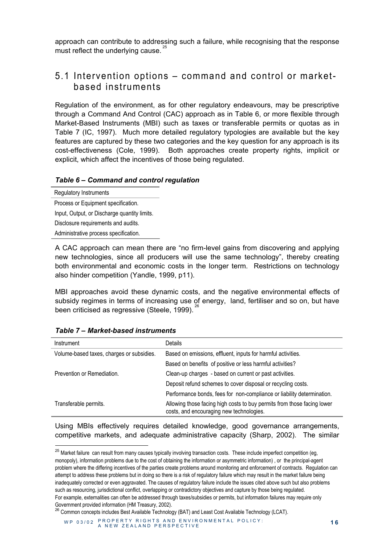approach can contribute to addressing such a failure, while recognising that the response must reflect the underlying cause.

### 5.1 Intervention options – command and control or marketbased instruments

Regulation of the environment, as for other regulatory endeavours, may be prescriptive through a Command And Control (CAC) approach as in Table 6, or more flexible through Market-Based Instruments (MBI) such as taxes or transferable permits or quotas as in Table 7 (IC, 1997). Much more detailed regulatory typologies are available but the key features are captured by these two categories and the key question for any approach is its cost-effectiveness (Cole, 1999). Both approaches create property rights, implicit or explicit, which affect the incentives of those being regulated.

#### *Table 6 – Command and control regulation*

Regulatory Instruments Process or Equipment specification. Input, Output, or Discharge quantity limits. Disclosure requirements and audits. Administrative process specification.

A CAC approach can mean there are "no firm-level gains from discovering and applying new technologies, since all producers will use the same technology", thereby creating both environmental and economic costs in the longer term. Restrictions on technology also hinder competition (Yandle, 1999, p11).

MBI approaches avoid these dynamic costs, and the negative environmental effects of subsidy regimes in terms of increasing use of energy, land, fertiliser and so on, but have been criticised as regressive (Steele, 1999).<sup>2</sup>

| Instrument                                | Details                                                                                                             |
|-------------------------------------------|---------------------------------------------------------------------------------------------------------------------|
| Volume-based taxes, charges or subsidies. | Based on emissions, effluent, inputs for harmful activities.                                                        |
|                                           | Based on benefits of positive or less harmful activities?                                                           |
| Prevention or Remediation.                | Clean-up charges - based on current or past activities.                                                             |
|                                           | Deposit refund schemes to cover disposal or recycling costs.                                                        |
|                                           | Performance bonds, fees for non-compliance or liability determination.                                              |
| Transferable permits.                     | Allowing those facing high costs to buy permits from those facing lower<br>costs, and encouraging new technologies. |

#### *Table 7 – Market-based instruments*

 $\overline{\phantom{a}}$ 

Using MBIs effectively requires detailed knowledge, good governance arrangements, competitive markets, and adequate administrative capacity (Sharp, 2002). The similar

<sup>26</sup> Common concepts includes Best Available Technology (BAT) and Least Cost Available Technology (LCAT).

<sup>&</sup>lt;sup>25</sup> Market failure can result from many causes typically involving transaction costs. These include imperfect competition (eg, monopoly), information problems due to the cost of obtaining the information or asymmetric information) , or the principal-agent problem where the differing incentives of the parties create problems around monitoring and enforcement of contracts. Regulation can attempt to address these problems but in doing so there is a risk of regulatory failure which may result in the market failure being inadequately corrected or even aggravated. The causes of regulatory failure include the issues cited above such but also problems such as resourcing, jurisdictional conflict, overlapping or contradictory objectives and capture by those being regulated. For example, externalities can often be addressed through taxes/subsidies or permits, but information failures may require only Government provided information (HM Treasury, 2002).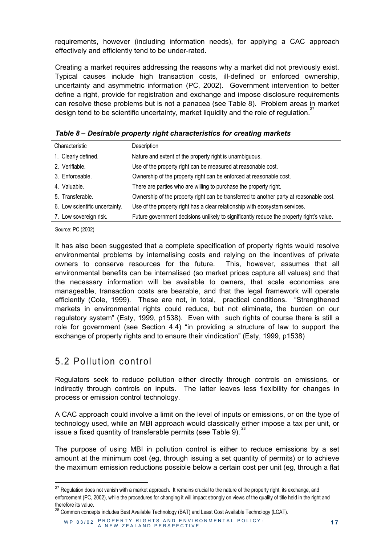requirements, however (including information needs), for applying a CAC approach effectively and efficiently tend to be under-rated.

Creating a market requires addressing the reasons why a market did not previously exist. Typical causes include high transaction costs, ill-defined or enforced ownership, uncertainty and asymmetric information (PC, 2002). Government intervention to better define a right, provide for registration and exchange and impose disclosure requirements can resolve these problems but is not a panacea (see Table 8). Problem areas in market design tend to be scientific uncertainty, market liquidity and the role of regulation.

| Characteristic                 | Description                                                                              |
|--------------------------------|------------------------------------------------------------------------------------------|
| 1. Clearly defined.            | Nature and extent of the property right is unambiguous.                                  |
| 2. Verifiable.                 | Use of the property right can be measured at reasonable cost.                            |
| 3. Enforceable.                | Ownership of the property right can be enforced at reasonable cost.                      |
| 4. Valuable.                   | There are parties who are willing to purchase the property right.                        |
| 5. Transferable.               | Ownership of the property right can be transferred to another party at reasonable cost.  |
| 6. Low scientific uncertainty. | Use of the property right has a clear relationship with ecosystem services.              |
| 7. Low sovereign risk.         | Future government decisions unlikely to significantly reduce the property right's value. |

*Table 8 – Desirable property right characteristics for creating markets* 

Source: PC (2002)

l

It has also been suggested that a complete specification of property rights would resolve environmental problems by internalising costs and relying on the incentives of private owners to conserve resources for the future. This, however, assumes that all environmental benefits can be internalised (so market prices capture all values) and that the necessary information will be available to owners, that scale economies are manageable, transaction costs are bearable, and that the legal framework will operate efficiently (Cole, 1999). These are not, in total, practical conditions. "Strengthened markets in environmental rights could reduce, but not eliminate, the burden on our regulatory system" (Esty, 1999, p1538). Even with such rights of course there is still a role for government (see Section 4.4) "in providing a structure of law to support the exchange of property rights and to ensure their vindication" (Esty, 1999, p1538)

### 5.2 Pollution control

Regulators seek to reduce pollution either directly through controls on emissions, or indirectly through controls on inputs. The latter leaves less flexibility for changes in process or emission control technology.

A CAC approach could involve a limit on the level of inputs or emissions, or on the type of technology used, while an MBI approach would classically either impose a tax per unit, or issue a fixed quantity of transferable permits (see Table 9).

The purpose of using MBI in pollution control is either to reduce emissions by a set amount at the minimum cost (eg, through issuing a set quantity of permits) or to achieve the maximum emission reductions possible below a certain cost per unit (eg, through a flat

<sup>&</sup>lt;sup>27</sup> Requlation does not vanish with a market approach. It remains crucial to the nature of the property right, its exchange, and enforcement (PC, 2002), while the procedures for changing it will impact strongly on views of the quality of title held in the right and therefore its value.

<sup>&</sup>lt;sup>28</sup> Common concepts includes Best Available Technology (BAT) and Least Cost Available Technology (LCAT).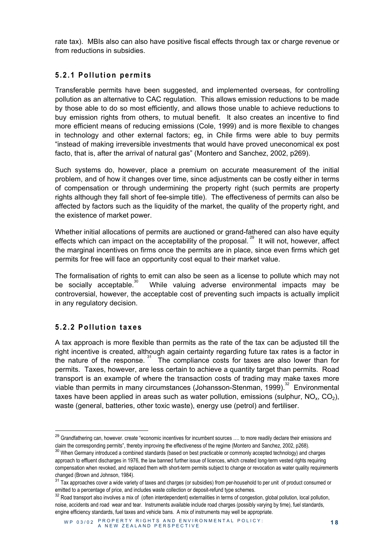rate tax). MBIs also can also have positive fiscal effects through tax or charge revenue or from reductions in subsidies.

#### **5.2.1 Pollution permits**

Transferable permits have been suggested, and implemented overseas, for controlling pollution as an alternative to CAC regulation. This allows emission reductions to be made by those able to do so most efficiently, and allows those unable to achieve reductions to buy emission rights from others, to mutual benefit. It also creates an incentive to find more efficient means of reducing emissions (Cole, 1999) and is more flexible to changes in technology and other external factors; eg, in Chile firms were able to buy permits "instead of making irreversible investments that would have proved uneconomical ex post facto, that is, after the arrival of natural gas" (Montero and Sanchez, 2002, p269).

Such systems do, however, place a premium on accurate measurement of the initial problem, and of how it changes over time, since adjustments can be costly either in terms of compensation or through undermining the property right (such permits are property rights although they fall short of fee-simple title). The effectiveness of permits can also be affected by factors such as the liquidity of the market, the quality of the property right, and the existence of market power.

Whether initial allocations of permits are auctioned or grand-fathered can also have equity effects which can impact on the acceptability of the proposal.<sup>29</sup> It will not, however, affect the marginal incentives on firms once the permits are in place, since even firms which get permits for free will face an opportunity cost equal to their market value.

The formalisation of rights to emit can also be seen as a license to pollute which may not be socially acceptable.<sup>30</sup> While valuing adverse environmental impacts may be controversial, however, the acceptable cost of preventing such impacts is actually implicit in any regulatory decision.

#### **5.2.2 Pollution taxes**

l

A tax approach is more flexible than permits as the rate of the tax can be adjusted till the right incentive is created, although again certainty regarding future tax rates is a factor in the nature of the response. 31 The compliance costs for taxes are also lower than for permits. Taxes, however, are less certain to achieve a quantity target than permits. Road transport is an example of where the transaction costs of trading may make taxes more viable than permits in many circumstances (Johansson-Stenman, 1999).<sup>32</sup> Environmental taxes have been applied in areas such as water pollution, emissions (sulphur,  $NO<sub>x</sub>$ ,  $CO<sub>2</sub>$ ), waste (general, batteries, other toxic waste), energy use (petrol) and fertiliser.

<sup>&</sup>lt;sup>29</sup> Grandfathering can, however. create "economic incentives for incumbent sources .... to more readily declare their emissions and claim the corresponding permits", thereby improving the effectiveness of the regime (Montero and Sanchez, 2002, p268).

<sup>&</sup>lt;sup>30</sup> When Germany introduced a combined standards (based on best practicable or commonly accepted technology) and charges approach to effluent discharges in 1976, the law banned further issue of licences, which created long-term vested rights requiring compensation when revoked, and replaced them with short-term permits subject to change or revocation as water quality requirements changed (Brown and Johnson, 1984).

<sup>&</sup>lt;sup>31</sup> Tax approaches cover a wide variety of taxes and charges (or subsidies) from per-household to per unit of product consumed or emitted to a percentage of price, and includes waste collection or deposit-refund type schemes.

<sup>&</sup>lt;sup>32</sup> Road transport also involves a mix of (often interdependent) externalities in terms of congestion, global pollution, local pollution, noise, accidents and road wear and tear. Instruments available include road charges (possibly varying by time), fuel standards, engine efficiency standards, fuel taxes and vehicle bans. A mix of instruments may well be appropriate.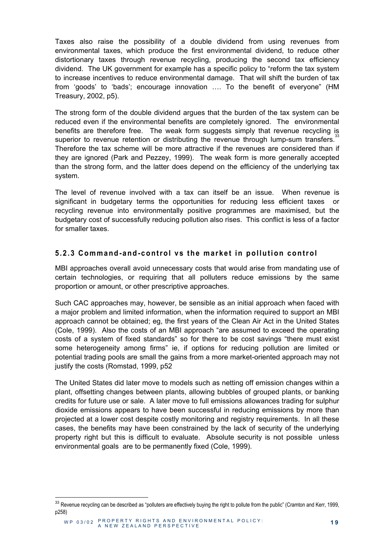Taxes also raise the possibility of a double dividend from using revenues from environmental taxes, which produce the first environmental dividend, to reduce other distortionary taxes through revenue recycling, producing the second tax efficiency dividend. The UK government for example has a specific policy to "reform the tax system to increase incentives to reduce environmental damage. That will shift the burden of tax from 'goods' to 'bads'; encourage innovation …. To the benefit of everyone" (HM Treasury, 2002, p5).

The strong form of the double dividend argues that the burden of the tax system can be reduced even if the environmental benefits are completely ignored. The environmental benefits are therefore free. The weak form suggests simply that revenue recycling is superior to revenue retention or distributing the revenue through lump-sum transfers. Therefore the tax scheme will be more attractive if the revenues are considered than if they are ignored (Park and Pezzey, 1999). The weak form is more generally accepted than the strong form, and the latter does depend on the efficiency of the underlying tax system.

The level of revenue involved with a tax can itself be an issue. When revenue is significant in budgetary terms the opportunities for reducing less efficient taxes or recycling revenue into environmentally positive programmes are maximised, but the budgetary cost of successfully reducing pollution also rises. This conflict is less of a factor for smaller taxes.

#### **5.2.3 Command-and-control vs the market in pollution control**

MBI approaches overall avoid unnecessary costs that would arise from mandating use of certain technologies, or requiring that all polluters reduce emissions by the same proportion or amount, or other prescriptive approaches.

Such CAC approaches may, however, be sensible as an initial approach when faced with a major problem and limited information, when the information required to support an MBI approach cannot be obtained; eg, the first years of the Clean Air Act in the United States (Cole, 1999). Also the costs of an MBI approach "are assumed to exceed the operating costs of a system of fixed standards" so for there to be cost savings "there must exist some heterogeneity among firms" ie, if options for reducing pollution are limited or potential trading pools are small the gains from a more market-oriented approach may not justify the costs (Romstad, 1999, p52

The United States did later move to models such as netting off emission changes within a plant, offsetting changes between plants, allowing bubbles of grouped plants, or banking credits for future use or sale. A later move to full emissions allowances trading for sulphur dioxide emissions appears to have been successful in reducing emissions by more than projected at a lower cost despite costly monitoring and registry requirements. In all these cases, the benefits may have been constrained by the lack of security of the underlying property right but this is difficult to evaluate. Absolute security is not possible unless environmental goals are to be permanently fixed (Cole, 1999).

 $\overline{\phantom{a}}$ 

<sup>33</sup> Revenue recycling can be described as "polluters are effectively buying the right to pollute from the public" (Cramton and Kerr, 1999, p258)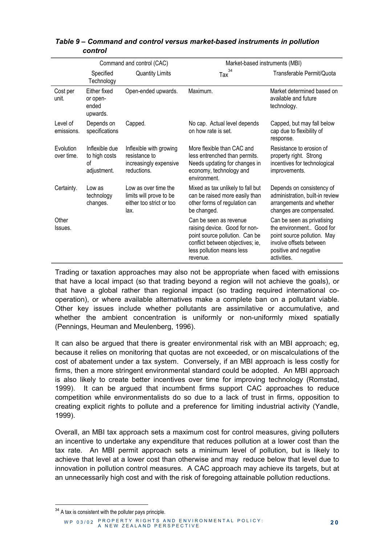|                         | Command and control (CAC)                            |                                                                                     | Market-based instruments (MBI)                                                                                                                                         |                                                                                                                                                          |
|-------------------------|------------------------------------------------------|-------------------------------------------------------------------------------------|------------------------------------------------------------------------------------------------------------------------------------------------------------------------|----------------------------------------------------------------------------------------------------------------------------------------------------------|
|                         | Specified<br>Technology                              | <b>Quantity Limits</b>                                                              | $\mathsf{Tax}^{34}$                                                                                                                                                    | Transferable Permit/Quota                                                                                                                                |
| Cost per<br>unit.       | Either fixed<br>or open-<br>ended<br>upwards.        | Open-ended upwards.                                                                 | Maximum.                                                                                                                                                               | Market determined based on<br>available and future<br>technology.                                                                                        |
| Level of<br>emissions.  | Depends on<br>specifications                         | Capped.                                                                             | No cap. Actual level depends<br>on how rate is set.                                                                                                                    | Capped, but may fall below<br>cap due to flexibility of<br>response.                                                                                     |
| Evolution<br>over time. | Inflexible due<br>to high costs<br>οf<br>adjustment. | Inflexible with growing<br>resistance to<br>increasingly expensive<br>reductions.   | More flexible than CAC and<br>less entrenched than permits.<br>Needs updating for changes in<br>economy, technology and<br>environment.                                | Resistance to erosion of<br>property right. Strong<br>incentives for technological<br>improvements.                                                      |
| Certainty.              | Low as<br>technology<br>changes.                     | Low as over time the<br>limits will prove to be<br>either too strict or too<br>lax. | Mixed as tax unlikely to fall but<br>can be raised more easily than<br>other forms of regulation can<br>be changed.                                                    | Depends on consistency of<br>administration, built-in review<br>arrangements and whether<br>changes are compensated.                                     |
| Other<br>Issues.        |                                                      |                                                                                     | Can be seen as revenue<br>raising device. Good for non-<br>point source pollution. Can be<br>conflict between objectives; ie,<br>less pollution means less<br>revenue. | Can be seen as privatising<br>the environment Good for<br>point source pollution. May<br>involve offsets between<br>positive and negative<br>activities. |

#### *Table 9 – Command and control versus market-based instruments in pollution control*

Trading or taxation approaches may also not be appropriate when faced with emissions that have a local impact (so that trading beyond a region will not achieve the goals), or that have a global rather than regional impact (so trading required international cooperation), or where available alternatives make a complete ban on a pollutant viable. Other key issues include whether pollutants are assimilative or accumulative, and whether the ambient concentration is uniformly or non-uniformly mixed spatially (Pennings, Heuman and Meulenberg, 1996).

It can also be argued that there is greater environmental risk with an MBI approach; eg, because it relies on monitoring that quotas are not exceeded, or on miscalculations of the cost of abatement under a tax system. Conversely, if an MBI approach is less costly for firms, then a more stringent environmental standard could be adopted. An MBI approach is also likely to create better incentives over time for improving technology (Romstad, 1999). It can be argued that incumbent firms support CAC approaches to reduce competition while environmentalists do so due to a lack of trust in firms, opposition to creating explicit rights to pollute and a preference for limiting industrial activity (Yandle, 1999).

Overall, an MBI tax approach sets a maximum cost for control measures, giving polluters an incentive to undertake any expenditure that reduces pollution at a lower cost than the tax rate. An MBI permit approach sets a minimum level of pollution, but is likely to achieve that level at a lower cost than otherwise and may reduce below that level due to innovation in pollution control measures. A CAC approach may achieve its targets, but at an unnecessarily high cost and with the risk of foregoing attainable pollution reductions.

 $34$  A tax is consistent with the polluter pays principle.

 $\overline{\phantom{a}}$ 

WP 03/02 PROPERTY RIGHTS AND EN VIRONMENTAL POLICY: A NEW ZEALAND PERSPECTIVE **2 0**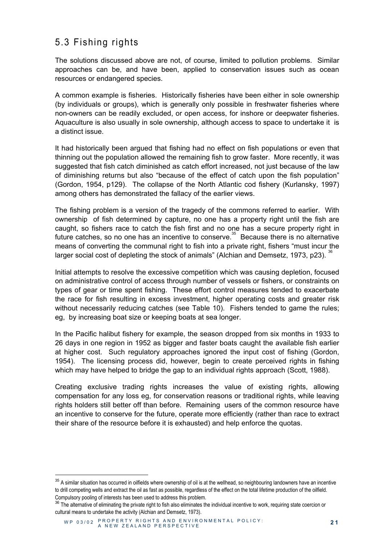# 5.3 Fishing rights

The solutions discussed above are not, of course, limited to pollution problems. Similar approaches can be, and have been, applied to conservation issues such as ocean resources or endangered species.

A common example is fisheries. Historically fisheries have been either in sole ownership (by individuals or groups), which is generally only possible in freshwater fisheries where non-owners can be readily excluded, or open access, for inshore or deepwater fisheries. Aquaculture is also usually in sole ownership, although access to space to undertake it is a distinct issue.

It had historically been argued that fishing had no effect on fish populations or even that thinning out the population allowed the remaining fish to grow faster. More recently, it was suggested that fish catch diminished as catch effort increased, not just because of the law of diminishing returns but also "because of the effect of catch upon the fish population" (Gordon, 1954, p129). The collapse of the North Atlantic cod fishery (Kurlansky, 1997) among others has demonstrated the fallacy of the earlier views.

The fishing problem is a version of the tragedy of the commons referred to earlier. With ownership of fish determined by capture, no one has a property right until the fish are caught, so fishers race to catch the fish first and no one has a secure property right in future catches, so no one has an incentive to conserve.<sup>35</sup> Because there is no alternative means of converting the communal right to fish into a private right, fishers "must incur the larger social cost of depleting the stock of animals" (Alchian and Demsetz, 1973, p23).

Initial attempts to resolve the excessive competition which was causing depletion, focused on administrative control of access through number of vessels or fishers, or constraints on types of gear or time spent fishing. These effort control measures tended to exacerbate the race for fish resulting in excess investment, higher operating costs and greater risk without necessarily reducing catches (see Table 10). Fishers tended to game the rules; eg, by increasing boat size or keeping boats at sea longer.

In the Pacific halibut fishery for example, the season dropped from six months in 1933 to 26 days in one region in 1952 as bigger and faster boats caught the available fish earlier at higher cost. Such regulatory approaches ignored the input cost of fishing (Gordon, 1954). The licensing process did, however, begin to create perceived rights in fishing which may have helped to bridge the gap to an individual rights approach (Scott, 1988).

Creating exclusive trading rights increases the value of existing rights, allowing compensation for any loss eg, for conservation reasons or traditional rights, while leaving rights holders still better off than before. Remaining users of the common resource have an incentive to conserve for the future, operate more efficiently (rather than race to extract their share of the resource before it is exhausted) and help enforce the quotas.

 $\overline{\phantom{a}}$ 

<sup>35</sup> A similar situation has occurred in oilfields where ownership of oil is at the wellhead, so neighbouring landowners have an incentive to drill competing wells and extract the oil as fast as possible, regardless of the effect on the total lifetime production of the oilfield. Compulsory pooling of interests has been used to address this problem.

<sup>36</sup> The alternative of eliminating the private right to fish also eliminates the individual incentive to work, requiring state coercion or cultural means to undertake the activity (Alchian and Demsetz, 1973).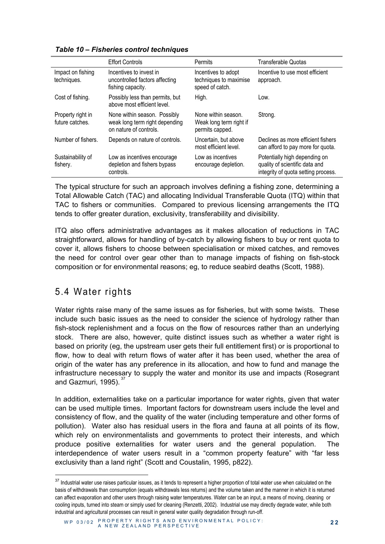|                                      | <b>Effort Controls</b>                                                                   | Permits                                                           | <b>Transferable Quotas</b>                                                                             |
|--------------------------------------|------------------------------------------------------------------------------------------|-------------------------------------------------------------------|--------------------------------------------------------------------------------------------------------|
| Impact on fishing<br>techniques.     | Incentives to invest in<br>uncontrolled factors affecting<br>fishing capacity.           | Incentives to adopt<br>techniques to maximise<br>speed of catch.  | Incentive to use most efficient<br>approach.                                                           |
| Cost of fishing.                     | Possibly less than permits, but<br>above most efficient level.                           | High.                                                             | Low.                                                                                                   |
| Property right in<br>future catches. | None within season. Possibly<br>weak long term right depending<br>on nature of controls. | None within season.<br>Weak long term right if<br>permits capped. | Strong.                                                                                                |
| Number of fishers.                   | Depends on nature of controls.                                                           | Uncertain, but above<br>most efficient level.                     | Declines as more efficient fishers<br>can afford to pay more for quota.                                |
| Sustainability of<br>fishery.        | Low as incentives encourage<br>depletion and fishers bypass<br>controls.                 | Low as incentives<br>encourage depletion.                         | Potentially high depending on<br>quality of scientific data and<br>integrity of quota setting process. |

#### *Table 10 – Fisheries control techniques*

The typical structure for such an approach involves defining a fishing zone, determining a Total Allowable Catch (TAC) and allocating Individual Transferable Quota (ITQ) within that TAC to fishers or communities. Compared to previous licensing arrangements the ITQ tends to offer greater duration, exclusivity, transferability and divisibility.

ITQ also offers administrative advantages as it makes allocation of reductions in TAC straightforward, allows for handling of by-catch by allowing fishers to buy or rent quota to cover it, allows fishers to choose between specialisation or mixed catches, and removes the need for control over gear other than to manage impacts of fishing on fish-stock composition or for environmental reasons; eg, to reduce seabird deaths (Scott, 1988).

## 5.4 Water rights

 $\overline{\phantom{a}}$ 

Water rights raise many of the same issues as for fisheries, but with some twists. These include such basic issues as the need to consider the science of hydrology rather than fish-stock replenishment and a focus on the flow of resources rather than an underlying stock. There are also, however, quite distinct issues such as whether a water right is based on priority (eg, the upstream user gets their full entitlement first) or is proportional to flow, how to deal with return flows of water after it has been used, whether the area of origin of the water has any preference in its allocation, and how to fund and manage the infrastructure necessary to supply the water and monitor its use and impacts (Rosegrant and Gazmuri, 1995).

In addition, externalities take on a particular importance for water rights, given that water can be used multiple times. Important factors for downstream users include the level and consistency of flow, and the quality of the water (including temperature and other forms of pollution). Water also has residual users in the flora and fauna at all points of its flow, which rely on environmentalists and governments to protect their interests, and which produce positive externalities for water users and the general population. interdependence of water users result in a "common property feature" with "far less exclusivity than a land right" (Scott and Coustalin, 1995, p822).

<sup>37</sup> Industrial water use raises particular issues, as it tends to represent a higher proportion of total water use when calculated on the basis of withdrawals than consumption (equals withdrawals less returns) and the volume taken and the manner in which it is returned can affect evaporation and other users through raising water temperatures. Water can be an input, a means of moving, cleaning or cooling inputs, turned into steam or simply used for cleaning (Renzetti, 2002). Industrial use may directly degrade water, while both industrial and agricultural processes can result in general water quality degradation through run-off.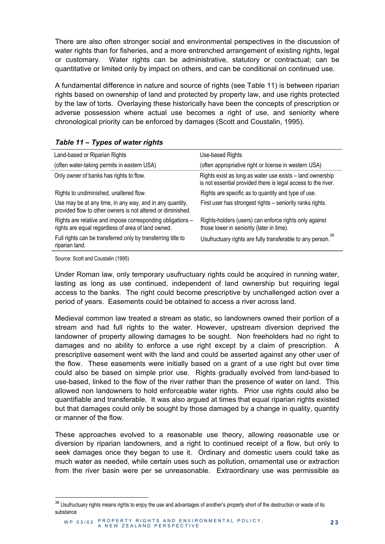There are also often stronger social and environmental perspectives in the discussion of water rights than for fisheries, and a more entrenched arrangement of existing rights, legal or customary. Water rights can be administrative, statutory or contractual; can be quantitative or limited only by impact on others, and can be conditional on continued use.

A fundamental difference in nature and source of rights (see Table 11) is between riparian rights based on ownership of land and protected by property law, and use rights protected by the law of torts. Overlaying these historically have been the concepts of prescription or adverse possession where actual use becomes a right of use, and seniority where chronological priority can be enforced by damages (Scott and Coustalin, 1995).

| Land-based or Riparian Rights                                                                                           | Use-based Rights                                                                                                           |
|-------------------------------------------------------------------------------------------------------------------------|----------------------------------------------------------------------------------------------------------------------------|
| (often water-taking permits in eastern USA)                                                                             | (often appropriative right or license in western USA)                                                                      |
| Only owner of banks has rights to flow.                                                                                 | Rights exist as long as water use exists - land ownership<br>is not essential provided there is legal access to the river. |
| Rights to undiminished, unaltered flow.                                                                                 | Rights are specific as to quantity and type of use.                                                                        |
| Use may be at any time, in any way, and in any quantity,<br>provided flow to other owners is not altered or diminished. | First user has strongest rights - seniority ranks rights.                                                                  |
| Rights are relative and impose corresponding obligations -<br>rights are equal regardless of area of land owned.        | Rights-holders (users) can enforce rights only against<br>those lower in seniority (later in time).                        |
| Full rights can be transferred only by transferring title to<br>riparian land.                                          | -38<br>Usufructuary rights are fully transferable to any person.                                                           |

#### *Table 11 – Types of water rights*

Source: Scott and Coustalin (1995)

 $\overline{\phantom{a}}$ 

Under Roman law, only temporary usufructuary rights could be acquired in running water, lasting as long as use continued, independent of land ownership but requiring legal access to the banks. The right could become prescriptive by unchallenged action over a period of years. Easements could be obtained to access a river across land.

Medieval common law treated a stream as static, so landowners owned their portion of a stream and had full rights to the water. However, upstream diversion deprived the landowner of property allowing damages to be sought. Non freeholders had no right to damages and no ability to enforce a use right except by a claim of prescription. A prescriptive easement went with the land and could be asserted against any other user of the flow. These easements were initially based on a grant of a use right but over time could also be based on simple prior use. Rights gradually evolved from land-based to use-based, linked to the flow of the river rather than the presence of water on land. This allowed non landowners to hold enforceable water rights. Prior use rights could also be quantifiable and transferable. It was also argued at times that equal riparian rights existed but that damages could only be sought by those damaged by a change in quality, quantity or manner of the flow.

These approaches evolved to a reasonable use theory, allowing reasonable use or diversion by riparian landowners, and a right to continued receipt of a flow, but only to seek damages once they began to use it. Ordinary and domestic users could take as much water as needed, while certain uses such as pollution, ornamental use or extraction from the river basin were per se unreasonable. Extraordinary use was permissible as

<sup>38</sup> Usufructuary rights means rights to enjoy the use and advantages of another's property short of the destruction or waste of its substance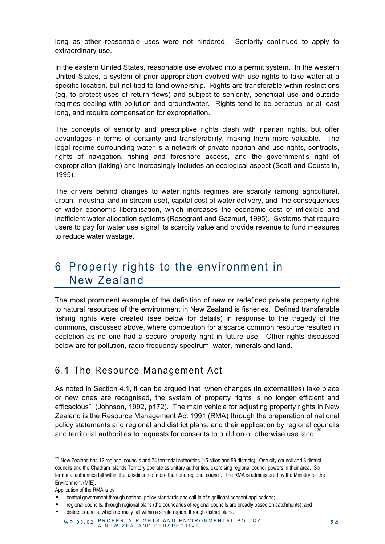long as other reasonable uses were not hindered. Seniority continued to apply to extraordinary use.

In the eastern United States, reasonable use evolved into a permit system. In the western United States, a system of prior appropriation evolved with use rights to take water at a specific location, but not tied to land ownership. Rights are transferable within restrictions (eg, to protect uses of return flows) and subject to seniority, beneficial use and outside regimes dealing with pollution and groundwater. Rights tend to be perpetual or at least long, and require compensation for expropriation.

The concepts of seniority and prescriptive rights clash with riparian rights, but offer advantages in terms of certainty and transferability, making them more valuable. The legal regime surrounding water is a network of private riparian and use rights, contracts, rights of navigation, fishing and foreshore access, and the government's right of expropriation (taking) and increasingly includes an ecological aspect (Scott and Coustalin, 1995).

The drivers behind changes to water rights regimes are scarcity (among agricultural, urban, industrial and in-stream use), capital cost of water delivery, and the consequences of wider economic liberalisation, which increases the economic cost of inflexible and inefficient water allocation systems (Rosegrant and Gazmuri, 1995). Systems that require users to pay for water use signal its scarcity value and provide revenue to fund measures to reduce water wastage.

# 6 Property rights to the environment in New Zealand

The most prominent example of the definition of new or redefined private property rights to natural resources of the environment in New Zealand is fisheries. Defined transferable fishing rights were created (see below for details) in response to the tragedy of the commons, discussed above, where competition for a scarce common resource resulted in depletion as no one had a secure property right in future use. Other rights discussed below are for pollution, radio frequency spectrum, water, minerals and land.

## 6.1 The Resource Management Act

As noted in Section 4.1, it can be argued that "when changes (in externalities) take place or new ones are recognised, the system of property rights is no longer efficient and efficacious" (Johnson, 1992, p172). The main vehicle for adjusting property rights in New Zealand is the Resource Management Act 1991 (RMA) through the preparation of national policy statements and regional and district plans, and their application by regional councils and territorial authorities to requests for consents to build on or otherwise use land.<sup>39</sup>

 $\overline{a}$ 

<sup>&</sup>lt;sup>39</sup> New Zealand has 12 regional councils and 74 territorial authorities (15 cities and 59 districts). One city council and 3 district councils and the Chatham Islands Territory operate as unitary authorities, exercising regional council powers in their area. Six territorial authorities fall within the jurisdiction of more than one regional council. The RMA is administered by the Ministry for the Environment (MfE).

Application of the RMA is by:

<sup>•</sup> central government through national policy standards and call-in of significant consent applications;

<sup>•</sup> regional councils, through regional plans (the boundaries of regional councils are broadly based on catchments); and • district councils, which normally fall within a single region, through district plans.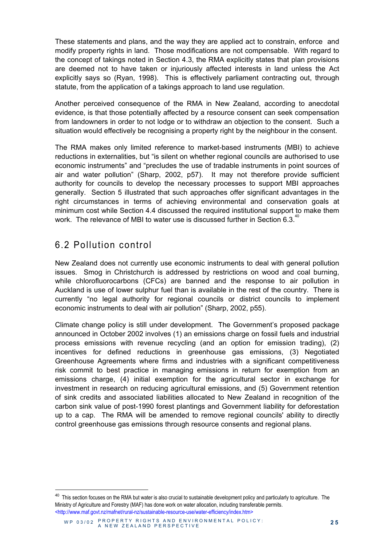These statements and plans, and the way they are applied act to constrain, enforce and modify property rights in land. Those modifications are not compensable. With regard to the concept of takings noted in Section 4.3, the RMA explicitly states that plan provisions are deemed not to have taken or injuriously affected interests in land unless the Act explicitly says so (Ryan, 1998). This is effectively parliament contracting out, through statute, from the application of a takings approach to land use regulation.

Another perceived consequence of the RMA in New Zealand, according to anecdotal evidence, is that those potentially affected by a resource consent can seek compensation from landowners in order to not lodge or to withdraw an objection to the consent. Such a situation would effectively be recognising a property right by the neighbour in the consent.

The RMA makes only limited reference to market-based instruments (MBI) to achieve reductions in externalities, but "is silent on whether regional councils are authorised to use economic instruments" and "precludes the use of tradable instruments in point sources of air and water pollution" (Sharp, 2002, p57). It may not therefore provide sufficient authority for councils to develop the necessary processes to support MBI approaches generally. Section 5 illustrated that such approaches offer significant advantages in the right circumstances in terms of achieving environmental and conservation goals at minimum cost while Section 4.4 discussed the required institutional support to make them work. The relevance of MBI to water use is discussed further in Section 6.3. $^{\circ}$ 

### 6.2 Pollution control

 $\overline{\phantom{a}}$ 

New Zealand does not currently use economic instruments to deal with general pollution issues. Smog in Christchurch is addressed by restrictions on wood and coal burning, while chlorofluorocarbons (CFCs) are banned and the response to air pollution in Auckland is use of lower sulphur fuel than is available in the rest of the country. There is currently "no legal authority for regional councils or district councils to implement economic instruments to deal with air pollution" (Sharp, 2002, p55).

Climate change policy is still under development. The Government's proposed package announced in October 2002 involves (1) an emissions charge on fossil fuels and industrial process emissions with revenue recycling (and an option for emission trading), (2) incentives for defined reductions in greenhouse gas emissions, (3) Negotiated Greenhouse Agreements where firms and industries with a significant competitiveness risk commit to best practice in managing emissions in return for exemption from an emissions charge, (4) initial exemption for the agricultural sector in exchange for investment in research on reducing agricultural emissions, and (5) Government retention of sink credits and associated liabilities allocated to New Zealand in recognition of the carbon sink value of post-1990 forest plantings and Government liability for deforestation up to a cap. The RMA will be amended to remove regional councils' ability to directly control greenhouse gas emissions through resource consents and regional plans.

<sup>&</sup>lt;sup>40</sup> This section focuses on the RMA but water is also crucial to sustainable development policy and particularly to agriculture. The Ministry of Agriculture and Forestry (MAF) has done work on water allocation, including transferable permits. <http://www.maf.govt.nz/mafnet/rural-nz/sustainable-resource-use/water-efficiency/index.htm>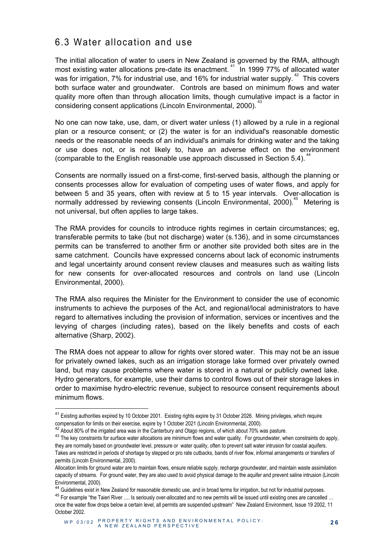### 6.3 Water allocation and use

The initial allocation of water to users in New Zealand is governed by the RMA, although most existing water allocations pre-date its enactment.<sup>41</sup> In 1999 77% of allocated water was for irrigation, 7% for industrial use, and 16% for industrial water supply.<sup>42</sup> This covers both surface water and groundwater. Controls are based on minimum flows and water quality more often than through allocation limits, though cumulative impact is a factor in considering consent applications (Lincoln Environmental, 2000).<sup>4</sup>

No one can now take, use, dam, or divert water unless (1) allowed by a rule in a regional plan or a resource consent; or (2) the water is for an individual's reasonable domestic needs or the reasonable needs of an individual's animals for drinking water and the taking or use does not, or is not likely to, have an adverse effect on the environment (comparable to the English reasonable use approach discussed in Section 5.4).<sup>44</sup>

Consents are normally issued on a first-come, first-served basis, although the planning or consents processes allow for evaluation of competing uses of water flows, and apply for between 5 and 35 years, often with review at 5 to 15 year intervals. Over-allocation is normally addressed by reviewing consents (Lincoln Environmental, 2000).<sup>45</sup> Metering is not universal, but often applies to large takes.

The RMA provides for councils to introduce rights regimes in certain circumstances; eg, transferable permits to take (but not discharge) water (s.136), and in some circumstances permits can be transferred to another firm or another site provided both sites are in the same catchment. Councils have expressed concerns about lack of economic instruments and legal uncertainty around consent review clauses and measures such as waiting lists for new consents for over-allocated resources and controls on land use (Lincoln Environmental, 2000).

The RMA also requires the Minister for the Environment to consider the use of economic instruments to achieve the purposes of the Act, and regional/local administrators to have regard to alternatives including the provision of information, services or incentives and the levying of charges (including rates), based on the likely benefits and costs of each alternative (Sharp, 2002).

The RMA does not appear to allow for rights over stored water. This may not be an issue for privately owned lakes, such as an irrigation storage lake formed over privately owned land, but may cause problems where water is stored in a natural or publicly owned lake. Hydro generators, for example, use their dams to control flows out of their storage lakes in order to maximise hydro-electric revenue, subject to resource consent requirements about minimum flows.

 $\overline{\phantom{a}}$ 

<sup>41</sup> Existing authorities expired by 10 October 2001. Existing rights expire by 31 October 2026. Mining privileges, which require compensation for limits on their exercise, expire by 1 October 2021 (Lincoln Environmental, 2000).

 $42$  About 80% of the irrigated area was in the Canterbury and Otago regions, of which about 70% was pasture.

<sup>&</sup>lt;sup>43</sup> The kev constraints for surface water allocations are minimum flows and water quality. For groundwater, when constraints do apply, they are normally based on groundwater level, pressure or water quality, often to prevent salt water intrusion for coastal aquifers. Takes are restricted in periods of shortage by stepped or pro rate cutbacks, bands of river flow, informal arrangements or transfers of permits (Lincoln Environmental, 2000).

Allocation limits for ground water are to maintain flows, ensure reliable supply, recharge groundwater, and maintain waste assimilation capacity of streams. For ground water, they are also used to avoid physical damage to the aquifer and prevent saline intrusion (Lincoln Environmental, 2000).

<sup>&</sup>lt;sup>44</sup> Guidelines exist in New Zealand for reasonable domestic use, and in broad terms for irrigation, but not for industrial purposes.

<sup>&</sup>lt;sup>45</sup> For example "the Taieri River .... Is seriously over-allocated and no new permits will be issued until existing ones are cancelled ... once the water flow drops below a certain level, all permits are suspended upstream" New Zealand Environment, Issue 19 2002, 11 October 2002.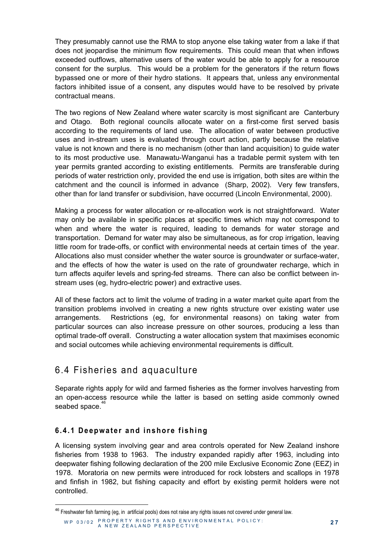They presumably cannot use the RMA to stop anyone else taking water from a lake if that does not jeopardise the minimum flow requirements. This could mean that when inflows exceeded outflows, alternative users of the water would be able to apply for a resource consent for the surplus. This would be a problem for the generators if the return flows bypassed one or more of their hydro stations. It appears that, unless any environmental factors inhibited issue of a consent, any disputes would have to be resolved by private contractual means.

The two regions of New Zealand where water scarcity is most significant are Canterbury and Otago*.* Both regional councils allocate water on a first-come first served basis according to the requirements of land use*.* The allocation of water between productive uses and in-stream uses is evaluated through court action, partly because the relative value is not known and there is no mechanism (other than land acquisition) to guide water to its most productive use. Manawatu-Wanganui has a tradable permit system with ten year permits granted according to existing entitlements*.* Permits are transferable during periods of water restriction only, provided the end use is irrigation, both sites are within the catchment and the council is informed in advance (Sharp, 2002). Very few transfers, other than for land transfer or subdivision, have occurred (Lincoln Environmental, 2000).

Making a process for water allocation or re-allocation work is not straightforward. Water may only be available in specific places at specific times which may not correspond to when and where the water is required, leading to demands for water storage and transportation. Demand for water may also be simultaneous, as for crop irrigation, leaving little room for trade-offs, or conflict with environmental needs at certain times of the year. Allocations also must consider whether the water source is groundwater or surface-water, and the effects of how the water is used on the rate of groundwater recharge, which in turn affects aquifer levels and spring-fed streams. There can also be conflict between instream uses (eg, hydro-electric power) and extractive uses.

All of these factors act to limit the volume of trading in a water market quite apart from the transition problems involved in creating a new rights structure over existing water use arrangements. Restrictions (eg, for environmental reasons) on taking water from particular sources can also increase pressure on other sources, producing a less than optimal trade-off overall. Constructing a water allocation system that maximises economic and social outcomes while achieving environmental requirements is difficult.

## 6.4 Fisheries and aquaculture

Separate rights apply for wild and farmed fisheries as the former involves harvesting from an open-access resource while the latter is based on setting aside commonly owned seabed space.<sup>46</sup>

#### **6.4.1 Deepwater and inshore fishing**

 $\overline{\phantom{a}}$ 

A licensing system involving gear and area controls operated for New Zealand inshore fisheries from 1938 to 1963. The industry expanded rapidly after 1963, including into deepwater fishing following declaration of the 200 mile Exclusive Economic Zone (EEZ) in 1978. Moratoria on new permits were introduced for rock lobsters and scallops in 1978 and finfish in 1982, but fishing capacity and effort by existing permit holders were not controlled.

WP 03/02 PROPERTY RIGHTS AND EN VIRONMENTAL POLICY: A NEW ZEALAND PERSPECTIVE **2 7**  $46$  Freshwater fish farming (eg, in artificial pools) does not raise any rights issues not covered under general law.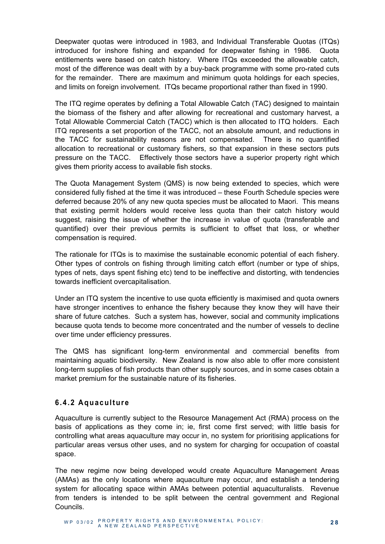Deepwater quotas were introduced in 1983, and Individual Transferable Quotas (ITQs) introduced for inshore fishing and expanded for deepwater fishing in 1986. Quota entitlements were based on catch history. Where ITQs exceeded the allowable catch, most of the difference was dealt with by a buy-back programme with some pro-rated cuts for the remainder. There are maximum and minimum quota holdings for each species, and limits on foreign involvement. ITQs became proportional rather than fixed in 1990.

The ITQ regime operates by defining a Total Allowable Catch (TAC) designed to maintain the biomass of the fishery and after allowing for recreational and customary harvest, a Total Allowable Commercial Catch (TACC) which is then allocated to ITQ holders. Each ITQ represents a set proportion of the TACC, not an absolute amount, and reductions in the TACC for sustainability reasons are not compensated. There is no quantified allocation to recreational or customary fishers, so that expansion in these sectors puts pressure on the TACC. Effectively those sectors have a superior property right which gives them priority access to available fish stocks.

The Quota Management System (QMS) is now being extended to species, which were considered fully fished at the time it was introduced – these Fourth Schedule species were deferred because 20% of any new quota species must be allocated to Maori. This means that existing permit holders would receive less quota than their catch history would suggest, raising the issue of whether the increase in value of quota (transferable and quantified) over their previous permits is sufficient to offset that loss, or whether compensation is required.

The rationale for ITQs is to maximise the sustainable economic potential of each fishery. Other types of controls on fishing through limiting catch effort (number or type of ships, types of nets, days spent fishing etc) tend to be ineffective and distorting, with tendencies towards inefficient overcapitalisation.

Under an ITQ system the incentive to use quota efficiently is maximised and quota owners have stronger incentives to enhance the fishery because they know they will have their share of future catches. Such a system has, however, social and community implications because quota tends to become more concentrated and the number of vessels to decline over time under efficiency pressures.

The QMS has significant long-term environmental and commercial benefits from maintaining aquatic biodiversity. New Zealand is now also able to offer more consistent long-term supplies of fish products than other supply sources, and in some cases obtain a market premium for the sustainable nature of its fisheries.

#### **6.4.2 Aquaculture**

Aquaculture is currently subject to the Resource Management Act (RMA) process on the basis of applications as they come in; ie, first come first served; with little basis for controlling what areas aquaculture may occur in, no system for prioritising applications for particular areas versus other uses, and no system for charging for occupation of coastal space.

The new regime now being developed would create Aquaculture Management Areas (AMAs) as the only locations where aquaculture may occur, and establish a tendering system for allocating space within AMAs between potential aquaculturalists. Revenue from tenders is intended to be split between the central government and Regional Councils.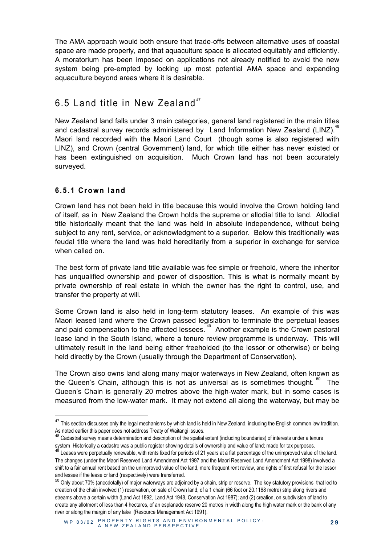The AMA approach would both ensure that trade-offs between alternative uses of coastal space are made properly, and that aquaculture space is allocated equitably and efficiently. A moratorium has been imposed on applications not already notified to avoid the new system being pre-empted by locking up most potential AMA space and expanding aquaculture beyond areas where it is desirable.

### 6.5 Land title in New Zealand<sup>47</sup>

New Zealand land falls under 3 main categories, general land registered in the main titles and cadastral survey records administered by Land Information New Zealand (LINZ). Maori land recorded with the Maori Land Court (though some is also registered with LINZ), and Crown (central Government) land, for which title either has never existed or has been extinguished on acquisition. Much Crown land has not been accurately surveyed.

#### **6.5.1 Crown land**

l

Crown land has not been held in title because this would involve the Crown holding land of itself, as in New Zealand the Crown holds the supreme or allodial title to land. Allodial title historically meant that the land was held in absolute independence, without being subject to any rent, service, or acknowledgment to a superior. Below this traditionally was feudal title where the land was held hereditarily from a superior in exchange for service when called on.

The best form of private land title available was fee simple or freehold, where the inheritor has unqualified ownership and power of disposition. This is what is normally meant by private ownership of real estate in which the owner has the right to control, use, and transfer the property at will.

Some Crown land is also held in long-term statutory leases. An example of this was Maori leased land where the Crown passed legislation to terminate the perpetual leases and paid compensation to the affected lessees.<sup>49</sup> Another example is the Crown pastoral lease land in the South Island, where a tenure review programme is underway. This will ultimately result in the land being either freeholded (to the lessor or otherwise) or being held directly by the Crown (usually through the Department of Conservation).

The Crown also owns land along many major waterways in New Zealand, often known as the Queen's Chain, although this is not as universal as is sometimes thought. <sup>50</sup> The Queen's Chain is generally 20 metres above the high-water mark, but in some cases is measured from the low-water mark. It may not extend all along the waterway, but may be

<sup>&</sup>lt;sup>47</sup> This section discusses only the legal mechanisms by which land is held in New Zealand, including the English common law tradition. As noted earlier this paper does not address Treaty of Waitangi issues.

<sup>&</sup>lt;sup>48</sup> Cadastral survey means determination and description of the spatial extent (including boundaries) of interests under a tenure system Historically a cadastre was a public register showing details of ownership and value of land; made for tax purposes.

<sup>&</sup>lt;sup>49</sup> Leases were perpetually renewable, with rents fixed for periods of 21 years at a flat percentage of the unimproved value of the land. The changes (under the Maori Reserved Land Amendment Act 1997 and the Maori Reserved Land Amendment Act 1998) involved a shift to a fair annual rent based on the unimproved value of the land, more frequent rent review, and rights of first refusal for the lessor and lessee if the lease or land (respectively) were transferred.

<sup>50</sup> Onlv about 70% (anecdotally) of maior waterways are adjoined by a chain, strip or reserve. The key statutory provisions that led to creation of the chain involved (1) reservation, on sale of Crown land, of a 1 chain (66 foot or 20.1168 metre) strip along rivers and streams above a certain width (Land Act 1892, Land Act 1948, Conservation Act 1987); and (2) creation, on subdivision of land to create any allotment of less than 4 hectares, of an esplanade reserve 20 metres in width along the high water mark or the bank of any river or along the margin of any lake (Resource Management Act 1991).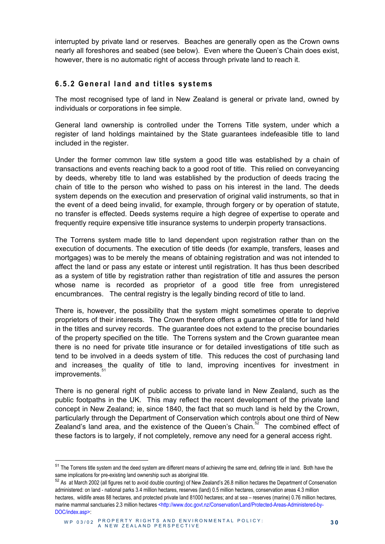interrupted by private land or reserves. Beaches are generally open as the Crown owns nearly all foreshores and seabed (see below). Even where the Queen's Chain does exist, however, there is no automatic right of access through private land to reach it.

#### **6.5.2 General land and titles systems**

The most recognised type of land in New Zealand is general or private land, owned by individuals or corporations in fee simple.

General land ownership is controlled under the Torrens Title system, under which a register of land holdings maintained by the State guarantees indefeasible title to land included in the register.

Under the former common law title system a good title was established by a chain of transactions and events reaching back to a good root of title. This relied on conveyancing by deeds, whereby title to land was established by the production of deeds tracing the chain of title to the person who wished to pass on his interest in the land. The deeds system depends on the execution and preservation of original valid instruments, so that in the event of a deed being invalid, for example, through forgery or by operation of statute, no transfer is effected. Deeds systems require a high degree of expertise to operate and frequently require expensive title insurance systems to underpin property transactions.

The Torrens system made title to land dependent upon registration rather than on the execution of documents. The execution of title deeds (for example, transfers, leases and mortgages) was to be merely the means of obtaining registration and was not intended to affect the land or pass any estate or interest until registration. It has thus been described as a system of title by registration rather than registration of title and assures the person whose name is recorded as proprietor of a good title free from unregistered encumbrances. The central registry is the legally binding record of title to land.

There is, however, the possibility that the system might sometimes operate to deprive proprietors of their interests. The Crown therefore offers a guarantee of title for land held in the titles and survey records. The guarantee does not extend to the precise boundaries of the property specified on the title. The Torrens system and the Crown guarantee mean there is no need for private title insurance or for detailed investigations of title such as tend to be involved in a deeds system of title. This reduces the cost of purchasing land and increases the quality of title to land, improving incentives for investment in improvements.<sup>51</sup>

There is no general right of public access to private land in New Zealand, such as the public footpaths in the UK. This may reflect the recent development of the private land concept in New Zealand; ie, since 1840, the fact that so much land is held by the Crown, particularly through the Department of Conservation which controls about one third of New Zealand's land area, and the existence of the Queen's Chain.<sup>34</sup> The combined effect of these factors is to largely, if not completely, remove any need for a general access right.

 $\overline{\phantom{a}}$ 

<sup>&</sup>lt;sup>51</sup> The Torrens title system and the deed system are different means of achieving the same end, defining title in land. Both have the same implications for pre-existing land ownership such as aboriginal title.

<sup>52</sup> As at March 2002 (all figures net to avoid double counting) of New Zealand's 26.8 million hectares the Department of Conservation administered: on land - national parks 3.4 million hectares, reserves (land) 0.5 million hectares, conservation areas 4.3 million hectares, wildlife areas 88 hectares, and protected private land 81000 hectares; and at sea – reserves (marine) 0.76 million hectares, marine mammal sanctuaries 2.3 million hectares <http://www.doc.govt.nz/Conservation/Land/Protected-Areas-Administered-by-DOC/index.asp>: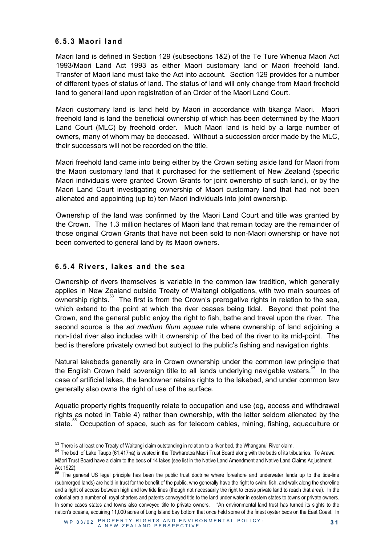#### **6.5.3 Maori land**

Maori land is defined in Section 129 (subsections 1&2) of the Te Ture Whenua Maori Act 1993/Maori Land Act 1993 as either Maori customary land or Maori freehold land. Transfer of Maori land must take the Act into account. Section 129 provides for a number of different types of status of land. The status of land will only change from Maori freehold land to general land upon registration of an Order of the Maori Land Court.

Maori customary land is land held by Maori in accordance with tikanga Maori. Maori freehold land is land the beneficial ownership of which has been determined by the Maori Land Court (MLC) by freehold order. Much Maori land is held by a large number of owners, many of whom may be deceased. Without a succession order made by the MLC, their successors will not be recorded on the title.

Maori freehold land came into being either by the Crown setting aside land for Maori from the Maori customary land that it purchased for the settlement of New Zealand (specific Maori individuals were granted Crown Grants for joint ownership of such land), or by the Maori Land Court investigating ownership of Maori customary land that had not been alienated and appointing (up to) ten Maori individuals into joint ownership.

Ownership of the land was confirmed by the Maori Land Court and title was granted by the Crown. The 1.3 million hectares of Maori land that remain today are the remainder of those original Crown Grants that have not been sold to non-Maori ownership or have not been converted to general land by its Maori owners.

#### **6.5.4 Rivers, lakes and the sea**

 $\overline{\phantom{a}}$ 

Ownership of rivers themselves is variable in the common law tradition, which generally applies in New Zealand outside Treaty of Waitangi obligations, with two main sources of ownership rights.<sup>33</sup> The first is from the Crown's prerogative rights in relation to the sea, which extend to the point at which the river ceases being tidal. Beyond that point the Crown, and the general public enjoy the right to fish, bathe and travel upon the river. The second source is the *ad medium filum aquae* rule where ownership of land adjoining a non-tidal river also includes with it ownership of the bed of the river to its mid-point. The bed is therefore privately owned but subject to the public's fishing and navigation rights.

Natural lakebeds generally are in Crown ownership under the common law principle that the English Crown held sovereign title to all lands underlying navigable waters. $34$  In the case of artificial lakes, the landowner retains rights to the lakebed, and under common law generally also owns the right of use of the surface.

Aquatic property rights frequently relate to occupation and use (eg, access and withdrawal rights as noted in Table 4) rather than ownership, with the latter seldom alienated by the state.<sup>55</sup> Occupation of space, such as for telecom cables, mining, fishing, aquaculture or

<sup>53</sup> There is at least one Treaty of Waitangi claim outstanding in relation to a river bed, the Whanganui River claim.

<sup>&</sup>lt;sup>54</sup> The bed of Lake Taupo (61,417ha) is vested in the Tūwharetoa Maori Trust Board along with the beds of its tributaries. Te Arawa Mäori Trust Board have a claim to the beds of 14 lakes (see list in the Native Land Amendment and Native Land Claims Adjustment Act 1922).

<sup>&</sup>lt;sup>55</sup> The general US legal principle has been the public trust doctrine where foreshore and underwater lands up to the tide-line (submerged lands) are held in trust for the benefit of the public, who generally have the right to swim, fish, and walk along the shoreline and a right of access between high and low tide lines (though not necessarily the right to cross private land to reach that area). In the colonial era a number of royal charters and patents conveyed title to the land under water in eastern states to towns or private owners. In some cases states and towns also conveyed title to private owners. "An environmental land trust has turned its sights to the nation's oceans, acquiring 11,000 acres of Long Island bay bottom that once held some of the finest oyster beds on the East Coast. In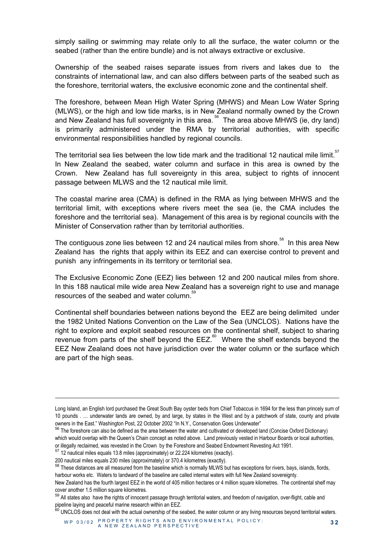simply sailing or swimming may relate only to all the surface, the water column or the seabed (rather than the entire bundle) and is not always extractive or exclusive.

Ownership of the seabed raises separate issues from rivers and lakes due to the constraints of international law, and can also differs between parts of the seabed such as the foreshore, territorial waters, the exclusive economic zone and the continental shelf.

The foreshore, between Mean High Water Spring (MHWS) and Mean Low Water Spring (MLWS), or the high and low tide marks, is in New Zealand normally owned by the Crown and New Zealand has full sovereignty in this area.<sup>56</sup> The area above MHWS (ie, dry land) is primarily administered under the RMA by territorial authorities, with specific environmental responsibilities handled by regional councils.

The territorial sea lies between the low tide mark and the traditional 12 nautical mile limit.<sup>57</sup> In New Zealand the seabed, water column and surface in this area is owned by the Crown. New Zealand has full sovereignty in this area, subject to rights of innocent passage between MLWS and the 12 nautical mile limit.

The coastal marine area (CMA) is defined in the RMA as lying between MHWS and the territorial limit, with exceptions where rivers meet the sea (ie, the CMA includes the foreshore and the territorial sea). Management of this area is by regional councils with the Minister of Conservation rather than by territorial authorities.

The contiguous zone lies between 12 and 24 nautical miles from shore.<sup>58</sup> In this area New Zealand has the rights that apply within its EEZ and can exercise control to prevent and punish any infringements in its territory or territorial sea.

The Exclusive Economic Zone (EEZ) lies between 12 and 200 nautical miles from shore. In this 188 nautical mile wide area New Zealand has a sovereign right to use and manage resources of the seabed and water column.<sup>36</sup>

Continental shelf boundaries between nations beyond the EEZ are being delimited under the 1982 United Nations Convention on the Law of the Sea (UNCLOS). Nations have the right to explore and exploit seabed resources on the continental shelf, subject to sharing revenue from parts of the shelf beyond the  $EEZ<sup>60</sup>$  Where the shelf extends beyond the EEZ New Zealand does not have jurisdiction over the water column or the surface which are part of the high seas.

1

Long Island, an English lord purchased the Great South Bay oyster beds from Chief Tobaccus in 1694 for the less than princely sum of 10 pounds . … underwater lands are owned, by and large, by states in the West and by a patchwork of state, county and private owners in the East." Washington Post, 22 October 2002 "In N.Y., Conservation Goes Underwater"

<sup>&</sup>lt;sup>56</sup> The foreshore can also be defined as the area between the water and cultivated or developed land (Concise Oxford Dictionary) which would overlap with the Queen's Chain concept as noted above. Land previously vested in Harbour Boards or local authorities,

or illegally reclaimed, was revested in the Crown by the Foreshore and Seabed Endowment Revesting Act 1991.

<sup>57</sup> 12 nautical miles equals 13.8 miles (approximately) or 22.224 kilometres (exactly).

<sup>200</sup> nautical miles equals 230 miles (approximately) or 370.4 kilometres (exactly).

<sup>58</sup> These distances are all measured from the baseline which is normally MLWS but has exceptions for rivers, bays, islands, fiords, harbour works etc. Waters to landward of the baseline are called internal waters with full New Zealand sovereignty.

New Zealand has the fourth largest EEZ in the world of 405 million hectares or 4 million square kilometres. The continental shelf may cover another 1.5 million square kilometres.

<sup>&</sup>lt;sup>59</sup> All states also have the rights of innocent passage through territorial waters, and freedom of navigation, over-flight, cable and pipeline laying and peaceful marine research within an EEZ.

 $^{60}$  UNCLOS does not deal with the actual ownership of the seabed, the water column or any living resources beyond territorial waters.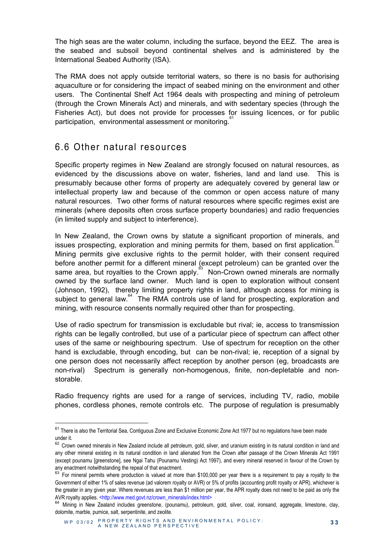The high seas are the water column, including the surface, beyond the EEZ. The area is the seabed and subsoil beyond continental shelves and is administered by the International Seabed Authority (ISA).

The RMA does not apply outside territorial waters, so there is no basis for authorising aquaculture or for considering the impact of seabed mining on the environment and other users. The Continental Shelf Act 1964 deals with prospecting and mining of petroleum (through the Crown Minerals Act) and minerals, and with sedentary species (through the Fisheries Act), but does not provide for processes for issuing licences, or for public participation, environmental assessment or monitoring.

### 6.6 Other natural resources

 $\overline{\phantom{a}}$ 

Specific property regimes in New Zealand are strongly focused on natural resources, as evidenced by the discussions above on water, fisheries, land and land use. This is presumably because other forms of property are adequately covered by general law or intellectual property law and because of the common or open access nature of many natural resources. Two other forms of natural resources where specific regimes exist are minerals (where deposits often cross surface property boundaries) and radio frequencies (in limited supply and subject to interference).

In New Zealand, the Crown owns by statute a significant proportion of minerals, and issues prospecting, exploration and mining permits for them, based on first application. $\degree$ Mining permits give exclusive rights to the permit holder, with their consent required before another permit for a different mineral (except petroleum) can be granted over the same area, but royalties to the Crown apply.<sup>83</sup> Non-Crown owned minerals are normally owned by the surface land owner. Much land is open to exploration without consent (Johnson, 1992), thereby limiting property rights in land, although access for mining is subject to general law.<sup>84</sup> The RMA controls use of land for prospecting, exploration and mining, with resource consents normally required other than for prospecting.

Use of radio spectrum for transmission is excludable but rival; ie, access to transmission rights can be legally controlled, but use of a particular piece of spectrum can affect other uses of the same or neighbouring spectrum. Use of spectrum for reception on the other hand is excludable, through encoding, but can be non-rival; ie, reception of a signal by one person does not necessarily affect reception by another person (eg, broadcasts are non-rival) Spectrum is generally non-homogenous, finite, non-depletable and nonstorable.

Radio frequency rights are used for a range of services, including TV, radio, mobile phones, cordless phones, remote controls etc. The purpose of regulation is presumably

<sup>&</sup>lt;sup>61</sup> There is also the Territorial Sea. Contiguous Zone and Exclusive Economic Zone Act 1977 but no regulations have been made under it.

<sup>62</sup> Crown owned minerals in New Zealand include all petroleum, gold, silver, and uranium existing in its natural condition in land and any other mineral existing in its natural condition in land alienated from the Crown after passage of the Crown Minerals Act 1991 (except pounamu [greenstone], see Ngai Tahu (Pounamu Vesting) Act 1997), and every mineral reserved in favour of the Crown by any enactment notwithstanding the repeal of that enactment.<br><sup>63</sup> For mineral permits where production is valued at more than \$100,000 per year there is a requirement to pay a royalty to the

Government of either 1% of sales revenue (ad valorem royalty or AVR) or 5% of profits (accounting profit royalty or APR), whichever is the greater in any given year. Where revenues are less than \$1 million per year, the APR royalty does not need to be paid as only the AVR royalty applies. <http://www.med.govt.nz/crown\_minerals/index.html>

<sup>64</sup> Mining in New Zealand includes greenstone, (pounamu), petroleum, gold, silver, coal, ironsand, aggregate, limestone, clay, dolomite, marble, pumice, salt, serpentinite, and zeolite.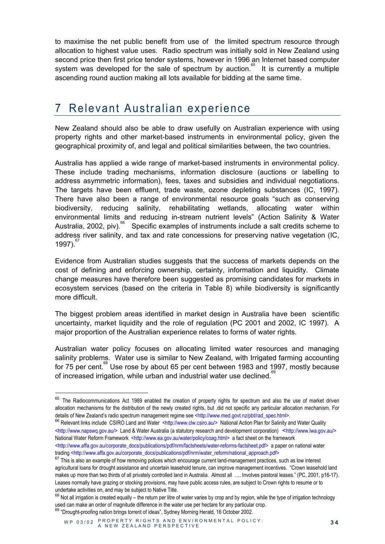to maximise the net public benefit from use of the limited spectrum resource through allocation to highest value uses. Radio spectrum was initially sold in New Zealand using second price then first price tender systems, however in 1996 an Internet based computer system was developed for the sale of spectrum by auction.<sup>65</sup> It is currently a multiple ascending round auction making all lots available for bidding at the same time.

# 7 Relevant Australian experience

New Zealand should also be able to draw usefully on Australian experience with using property rights and other market-based instruments in environmental policy, given the geographical proximity of, and legal and political similarities between, the two countries.

Australia has applied a wide range of market-based instruments in environmental policy. These include trading mechanisms, information disclosure (auctions or labelling to address asymmetric information), fees, taxes and subsidies and individual negotiations. The targets have been effluent, trade waste, ozone depleting substances (IC, 1997). There have also been a range of environmental resource goals "such as conserving biodiversity, reducing salinity, rehabilitating wetlands, allocating water within environmental limits and reducing in-stream nutrient levels" (Action Salinity & Water Australia, 2002, piv).66 Specific examples of instruments include a salt credits scheme to address river salinity, and tax and rate concessions for preserving native vegetation (IC, 1997). $6$ 

Evidence from Australian studies suggests that the success of markets depends on the cost of defining and enforcing ownership, certainty, information and liquidity. Climate change measures have therefore been suggested as promising candidates for markets in ecosystem services (based on the criteria in Table 8) while biodiversity is significantly more difficult.

The biggest problem areas identified in market design in Australia have been scientific uncertainty, market liquidity and the role of regulation (PC 2001 and 2002, IC 1997). A major proportion of the Australian experience relates to forms of water rights.

Australian water policy focuses on allocating limited water resources and managing salinity problems. Water use is similar to New Zealand, with Irrigated farming accounting for 75 per cent.<sup>88</sup> Use rose by about 65 per cent between 1983 and 1997, mostly because of increased irrigation, while urban and industrial water use declined.<sup>89</sup>

66 Relevant links include CSIRO Land and Water <http://www.clw.csiro.au/> National Action Plan for Salinity and Water Quality <http://www.napswq.gov.au/> Land & Water Australia (a statutory research and development corporation) <http://www.lwa.gov.au/> National Water Reform Framework <http://www.ea.gov.au/water/policy/coag.html> a fact sheet on the framework <http://www.affa.gov.au/corporate\_docs/publications/pdf/nrm/factsheets/water-reforms-factsheet.pdf> a paper on national water

l

<sup>&</sup>lt;sup>65</sup> The Radiocommunications Act 1989 enabled the creation of property rights for spectrum and also the use of market driven allocation mechanisms for the distribution of the newly created rights, but .did not specific any particular allocation mechanism. For details of New Zealand's radio spectrum management regime see <http://www.med.govt.nz/pbt/rad\_spec.html>.

trading <http://www.affa.gov.au/corporate\_docs/publications/pdf/nrm/water\_reform/national\_approach.pdf>

 $67$  This is also an example of how removing polices which encourage current land-management practices, such as low interest agricultural loans for drought assistance and uncertain leasehold tenure, can improve management incentives. "Crown leasehold land makes up more than two thirds of all privately controlled land in Australia. Almost all …. Involves pastoral leases." (PC, 2001, p16-17). Leases normally have grazing or stocking provisions, may have public access rules, are subject to Crown rights to resume or to undertake activities on, and may be subject to Native Title.

<sup>&</sup>lt;sup>68</sup> Not all irrigation is created equally – the return per litre of water varies by crop and by region, while the type of irrigation technology used can make an order of magnitude difference in the water use per hectare for any particular crop.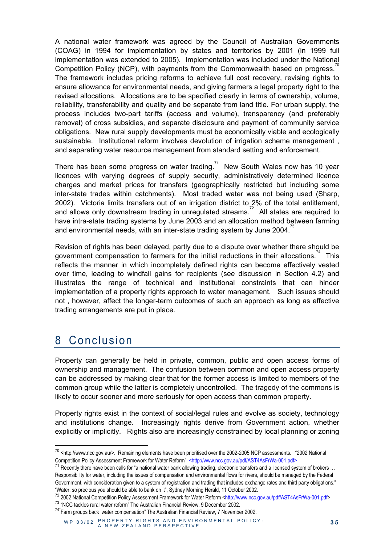A national water framework was agreed by the Council of Australian Governments (COAG) in 1994 for implementation by states and territories by 2001 (in 1999 full implementation was extended to 2005). Implementation was included under the National Competition Policy (NCP), with payments from the Commonwealth based on progress. The framework includes pricing reforms to achieve full cost recovery, revising rights to ensure allowance for environmental needs, and giving farmers a legal property right to the revised allocations. Allocations are to be specified clearly in terms of ownership, volume, reliability, transferability and quality and be separate from land title. For urban supply, the process includes two-part tariffs (access and volume), transparency (and preferably removal) of cross subsidies, and separate disclosure and payment of community service obligations. New rural supply developments must be economically viable and ecologically sustainable. Institutional reform involves devolution of irrigation scheme management , and separating water resource management from standard setting and enforcement.

There has been some progress on water trading.<sup>71</sup> New South Wales now has 10 year licences with varying degrees of supply security, administratively determined licence charges and market prices for transfers (geographically restricted but including some inter-state trades within catchments). Most traded water was not being used (Sharp, 2002). Victoria limits transfers out of an irrigation district to 2% of the total entitlement, and allows only downstream trading in unregulated streams.<sup>72</sup> All states are required to have intra-state trading systems by June 2003 and an allocation method between farming and environmental needs, with an inter-state trading system by June 2004. $\degree$ 

Revision of rights has been delayed, partly due to a dispute over whether there should be government compensation to farmers for the initial reductions in their allocations.<sup>7</sup> This reflects the manner in which incompletely defined rights can become effectively vested over time, leading to windfall gains for recipients (see discussion in Section 4.2) and illustrates the range of technical and institutional constraints that can hinder implementation of a property rights approach to water management. Such issues should not , however, affect the longer-term outcomes of such an approach as long as effective trading arrangements are put in place.

# 8 Conclusion

 $\overline{\phantom{a}}$ 

Property can generally be held in private, common, public and open access forms of ownership and management. The confusion between common and open access property can be addressed by making clear that for the former access is limited to members of the common group while the latter is completely uncontrolled. The tragedy of the commons is likely to occur sooner and more seriously for open access than common property.

Property rights exist in the context of social/legal rules and evolve as society, technology and institutions change. Increasingly rights derive from Government action, whether explicitly or implicitly. Rights also are increasingly constrained by local planning or zoning

WP 03/02 PROPERTY RIGHTS AND EN VIRONMENTAL POLICY: A NEW ZEALAND PERSPECTIVE **3 5**

<sup>70</sup> <http://www.ncc.gov.au/>. Remaining elements have been prioritised over the 2002-2005 NCP assessments. "2002 National Competition Policy Assessment Framework for Water Reform" <http://www.ncc.gov.au/pdf/AST4AsFrWa-001.pdf>

 $^{71}$  Recently there have been calls for "a national water bank allowing trading, electronic transfers and a licensed system of brokers ... Responsibility for water, including the issues of compensation and environmental flows for rivers, should be managed by the Federal Government, with consideration given to a system of registration and trading that includes exchange rates and third party obligations." "Water: so precious you should be able to bank on it", Sydney Morning Herald, 11 October 2002.

<sup>72</sup> 2002 National Competition Policy Assessment Framework for Water Reform <http://www.ncc.gov.au/pdf/AST4AsFrWa-001.pdf> <sup>73</sup> "NCC tackles rural water reform" The Australian Financial Review, 9 December 2002.

<sup>&</sup>lt;sup>74"</sup> Farm groups back water compensation" The Australian Financial Review, 7 November 2002.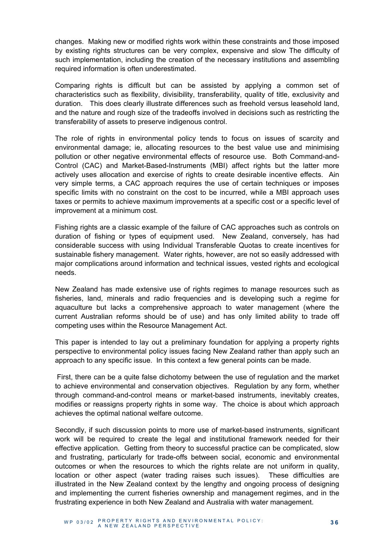changes. Making new or modified rights work within these constraints and those imposed by existing rights structures can be very complex, expensive and slow The difficulty of such implementation, including the creation of the necessary institutions and assembling required information is often underestimated.

Comparing rights is difficult but can be assisted by applying a common set of characteristics such as flexibility, divisibility, transferability, quality of title, exclusivity and duration. This does clearly illustrate differences such as freehold versus leasehold land, and the nature and rough size of the tradeoffs involved in decisions such as restricting the transferability of assets to preserve indigenous control.

The role of rights in environmental policy tends to focus on issues of scarcity and environmental damage; ie, allocating resources to the best value use and minimising pollution or other negative environmental effects of resource use. Both Command-and-Control (CAC) and Market-Based-Instruments (MBI) affect rights but the latter more actively uses allocation and exercise of rights to create desirable incentive effects. Ain very simple terms, a CAC approach requires the use of certain techniques or imposes specific limits with no constraint on the cost to be incurred, while a MBI approach uses taxes or permits to achieve maximum improvements at a specific cost or a specific level of improvement at a minimum cost.

Fishing rights are a classic example of the failure of CAC approaches such as controls on duration of fishing or types of equipment used. New Zealand, conversely, has had considerable success with using Individual Transferable Quotas to create incentives for sustainable fishery management. Water rights, however, are not so easily addressed with major complications around information and technical issues, vested rights and ecological needs.

New Zealand has made extensive use of rights regimes to manage resources such as fisheries, land, minerals and radio frequencies and is developing such a regime for aquaculture but lacks a comprehensive approach to water management (where the current Australian reforms should be of use) and has only limited ability to trade off competing uses within the Resource Management Act.

This paper is intended to lay out a preliminary foundation for applying a property rights perspective to environmental policy issues facing New Zealand rather than apply such an approach to any specific issue. In this context a few general points can be made.

 First, there can be a quite false dichotomy between the use of regulation and the market to achieve environmental and conservation objectives. Regulation by any form, whether through command-and-control means or market-based instruments, inevitably creates, modifies or reassigns property rights in some way. The choice is about which approach achieves the optimal national welfare outcome.

Secondly, if such discussion points to more use of market-based instruments, significant work will be required to create the legal and institutional framework needed for their effective application. Getting from theory to successful practice can be complicated, slow and frustrating, particularly for trade-offs between social, economic and environmental outcomes or when the resources to which the rights relate are not uniform in quality, location or other aspect (water trading raises such issues). These difficulties are illustrated in the New Zealand context by the lengthy and ongoing process of designing and implementing the current fisheries ownership and management regimes, and in the frustrating experience in both New Zealand and Australia with water management.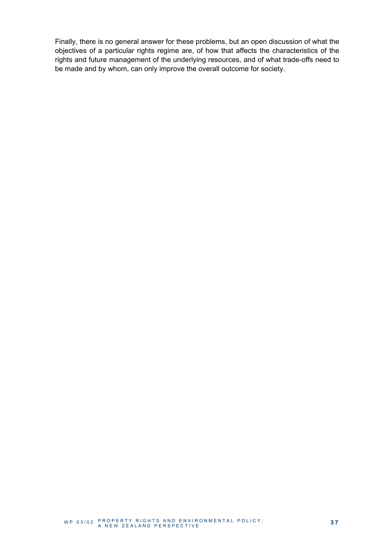Finally, there is no general answer for these problems, but an open discussion of what the objectives of a particular rights regime are, of how that affects the characteristics of the rights and future management of the underlying resources, and of what trade-offs need to be made and by whom, can only improve the overall outcome for society.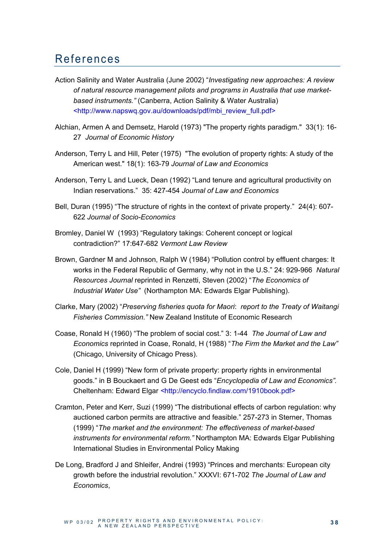# References

- Action Salinity and Water Australia (June 2002) "*Investigating new approaches: A review of natural resource management pilots and programs in Australia that use marketbased instruments."* (Canberra, Action Salinity & Water Australia) <http://www.napswq.gov.au/downloads/pdf/mbi\_review\_full.pdf>
- Alchian, Armen A and Demsetz, Harold (1973) "The property rights paradigm." 33(1): 16- 27 *Journal of Economic History*
- Anderson, Terry L and Hill, Peter (1975) "The evolution of property rights: A study of the American west." 18(1): 163-79 *Journal of Law and Economics*
- Anderson, Terry L and Lueck, Dean (1992) "Land tenure and agricultural productivity on Indian reservations." 35: 427-454 *Journal of Law and Economics*
- Bell, Duran (1995) "The structure of rights in the context of private property." 24(4): 607- 622 *Journal of Socio-Economics*
- Bromley, Daniel W (1993) "Regulatory takings: Coherent concept or logical contradiction?" 17:647-682 *Vermont Law Review*
- Brown, Gardner M and Johnson, Ralph W (1984) "Pollution control by effluent charges: It works in the Federal Republic of Germany, why not in the U.S." 24: 929-966 *Natural Resources Journal* reprinted in Renzetti, Steven (2002) "*The Economics of Industrial Water Use"* (Northampton MA: Edwards Elgar Publishing).
- Clarke, Mary (2002) "*Preserving fisheries quota for Maori*: *report to the Treaty of Waitangi Fisheries Commission."* New Zealand Institute of Economic Research
- Coase, Ronald H (1960) "The problem of social cost." 3: 1-44 *The Journal of Law and Economics* reprinted in Coase, Ronald, H (1988) "*The Firm the Market and the Law"* (Chicago, University of Chicago Press).
- Cole, Daniel H (1999) "New form of private property: property rights in environmental goods." in B Bouckaert and G De Geest eds "*Encyclopedia of Law and Economics".*  Cheltenham: Edward Elgar *<*http://encyclo.findlaw.com/1910book.pdf>
- Cramton, Peter and Kerr, Suzi (1999) "The distributional effects of carbon regulation: why auctioned carbon permits are attractive and feasible." 257-273 in Sterner, Thomas (1999) "*The market and the environment: The effectiveness of market-based instruments for environmental reform."* Northampton MA: Edwards Elgar Publishing International Studies in Environmental Policy Making
- De Long, Bradford J and Shleifer, Andrei (1993) "Princes and merchants: European city growth before the industrial revolution." XXXVI: 671-702 *The Journal of Law and Economics*,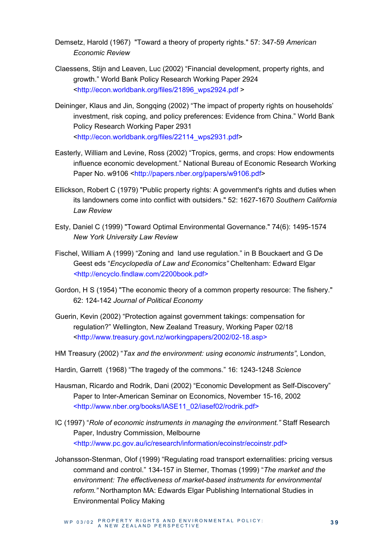- Demsetz, Harold (1967) "Toward a theory of property rights." 57: 347-59 *American Economic Review*
- Claessens, Stijn and Leaven, Luc (2002) "Financial development, property rights, and growth." World Bank Policy Research Working Paper 2924 <http://econ.worldbank.org/files/21896\_wps2924.pdf >
- Deininger, Klaus and Jin, Songqing (2002) "The impact of property rights on households' investment, risk coping, and policy preferences: Evidence from China." World Bank Policy Research Working Paper 2931 <http://econ.worldbank.org/files/22114\_wps2931.pdf>
- Easterly, William and Levine, Ross (2002) "Tropics, germs, and crops: How endowments influence economic development." National Bureau of Economic Research Working Paper No. w9106 <http://papers.nber.org/papers/w9106.pdf>
- Ellickson, Robert C (1979) "Public property rights: A government's rights and duties when its landowners come into conflict with outsiders." 52: 1627-1670 *Southern California Law Review*
- Esty, Daniel C (1999) "Toward Optimal Environmental Governance." 74(6): 1495-1574 *New York University Law Review*
- Fischel, William A (1999) "Zoning and land use regulation." in B Bouckaert and G De Geest eds "*Encyclopedia of Law and Economics"* Cheltenham: Edward Elgar *<*http://encyclo.findlaw.com/2200book.pdf>
- Gordon, H S (1954) "The economic theory of a common property resource: The fishery." 62: 124-142 *Journal of Political Economy*
- Guerin, Kevin (2002) "Protection against government takings: compensation for regulation?" Wellington, New Zealand Treasury, Working Paper 02/18 <http://www.treasury.govt.nz/workingpapers/2002/02-18.asp>
- HM Treasury (2002) "*Tax and the environment: using economic instruments"*, London,
- Hardin, Garrett (1968) "The tragedy of the commons." 16: 1243-1248 *Science*
- Hausman, Ricardo and Rodrik, Dani (2002) "Economic Development as Self-Discovery" Paper to Inter-American Seminar on Economics, November 15-16, 2002 <http://www.nber.org/books/IASE11\_02/iasef02/rodrik.pdf>
- IC (1997) "*Role of economic instruments in managing the environment."* Staff Research Paper, Industry Commission, Melbourne <http://www.pc.gov.au/ic/research/information/ecoinstr/ecoinstr.pdf>
- Johansson-Stenman, Olof (1999) "Regulating road transport externalities: pricing versus command and control." 134-157 in Sterner, Thomas (1999) "*The market and the environment: The effectiveness of market-based instruments for environmental reform."* Northampton MA: Edwards Elgar Publishing International Studies in Environmental Policy Making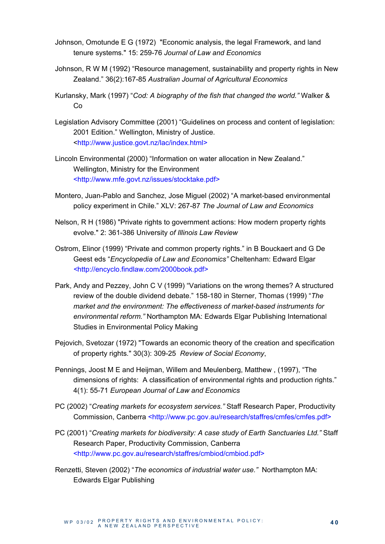- Johnson, Omotunde E G (1972) "Economic analysis, the legal Framework, and land tenure systems." 15: 259-76 *Journal of Law and Economics*
- Johnson, R W M (1992) "Resource management, sustainability and property rights in New Zealand." 36(2):167-85 *Australian Journal of Agricultural Economics*
- Kurlansky, Mark (1997) "*Cod: A biography of the fish that changed the world."* Walker & Co
- Legislation Advisory Committee (2001) "Guidelines on process and content of legislation: 2001 Edition." Wellington, Ministry of Justice. <http://www.justice.govt.nz/lac/index.html>
- Lincoln Environmental (2000) "Information on water allocation in New Zealand." Wellington, Ministry for the Environment <http://www.mfe.govt.nz/issues/stocktake.pdf>
- Montero, Juan-Pablo and Sanchez, Jose Miguel (2002) "A market-based environmental policy experiment in Chile." XLV: 267-87 *The Journal of Law and Economics*
- Nelson, R H (1986) "Private rights to government actions: How modern property rights evolve." 2: 361-386 University *of Illinois Law Review*
- Ostrom, Elinor (1999) "Private and common property rights." in B Bouckaert and G De Geest eds "*Encyclopedia of Law and Economics"* Cheltenham: Edward Elgar *<*http://encyclo.findlaw.com/2000book.pdf>
- Park, Andy and Pezzey, John C V (1999) "Variations on the wrong themes? A structured review of the double dividend debate." 158-180 in Sterner, Thomas (1999) "*The market and the environment: The effectiveness of market-based instruments for environmental reform."* Northampton MA: Edwards Elgar Publishing International Studies in Environmental Policy Making
- Pejovich, Svetozar (1972) "Towards an economic theory of the creation and specification of property rights*.*" 30(3): 309-25 *Review of Social Economy*,
- Pennings, Joost M E and Heijman, Willem and Meulenberg, Matthew , (1997), "The dimensions of rights: A classification of environmental rights and production rights." 4(1): 55-71 *European Journal of Law and Economics*
- PC (2002) "*Creating markets for ecosystem services."* Staff Research Paper, Productivity Commission, Canberra <http://www.pc.gov.au/research/staffres/cmfes/cmfes.pdf>
- PC (2001) "Creating markets for biodiversity: A case study of Earth Sanctuaries Ltd." Staff Research Paper, Productivity Commission, Canberra <http://www.pc.gov.au/research/staffres/cmbiod/cmbiod.pdf>
- Renzetti, Steven (2002) "*The economics of industrial water use."* Northampton MA: Edwards Elgar Publishing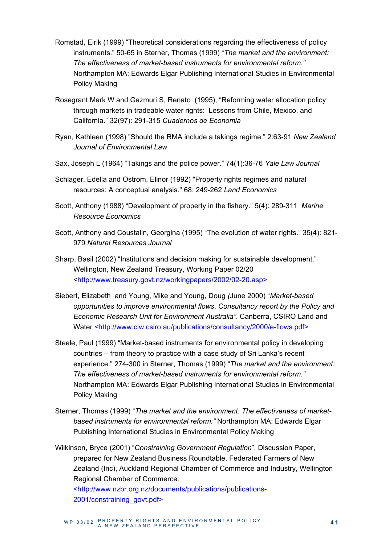- Romstad, Eirik (1999) "Theoretical considerations regarding the effectiveness of policy instruments." 50-65 in Sterner, Thomas (1999) "*The market and the environment: The effectiveness of market-based instruments for environmental reform."* Northampton MA: Edwards Elgar Publishing International Studies in Environmental Policy Making
- Rosegrant Mark W and Gazmuri S, Renato (1995), "Reforming water allocation policy through markets in tradeable water rights: Lessons from Chile, Mexico, and California." 32(97): 291-315 *Cuadernos de Economia*
- Ryan, Kathleen (1998) "Should the RMA include a takings regime." 2:63-91 *New Zealand Journal of Environmental Law*
- Sax, Joseph L (1964) "Takings and the police power." 74(1):36-76 *Yale Law Journal*
- Schlager, Edella and Ostrom, Elinor (1992) "Property rights regimes and natural resources: A conceptual analysis." 68: 249-262 *Land Economics*
- Scott, Anthony (1988) "Development of property in the fishery." 5(4): 289-311 *Marine Resource Economics*
- Scott, Anthony and Coustalin, Georgina (1995) "The evolution of water rights." 35(4): 821- 979 *Natural Resources Journal*
- Sharp, Basil (2002) "Institutions and decision making for sustainable development." Wellington, New Zealand Treasury, Working Paper 02/20 <http://www.treasury.govt.nz/workingpapers/2002/02-20.asp>
- Siebert, Elizabeth and Young, Mike and Young, Doug *(*June 2000) "*Market-based opportunities to improve environmental flows*. *Consultancy report by the Policy and Economic Research Unit for Environment Australia"*. Canberra, CSIRO Land and Water *<*http://www.clw.csiro.au/publications/consultancy/2000/e-flows.pdf>
- Steele, Paul (1999) "Market-based instruments for environmental policy in developing countries – from theory to practice with a case study of Sri Lanka's recent experience." 274-300 in Sterner, Thomas (1999) "*The market and the environment: The effectiveness of market-based instruments for environmental reform."* Northampton MA: Edwards Elgar Publishing International Studies in Environmental Policy Making
- Sterner, Thomas (1999) "*The market and the environment: The effectiveness of marketbased instruments for environmental reform."* Northampton MA: Edwards Elgar Publishing International Studies in Environmental Policy Making
- Wilkinson, Bryce (2001) "*Constraining Government Regulation*", Discussion Paper, prepared for New Zealand Business Roundtable, Federated Farmers of New Zealand (Inc), Auckland Regional Chamber of Commerce and Industry, Wellington Regional Chamber of Commerce.

<http://www.nzbr.org.nz/documents/publications/publications-2001/constraining\_govt.pdf>